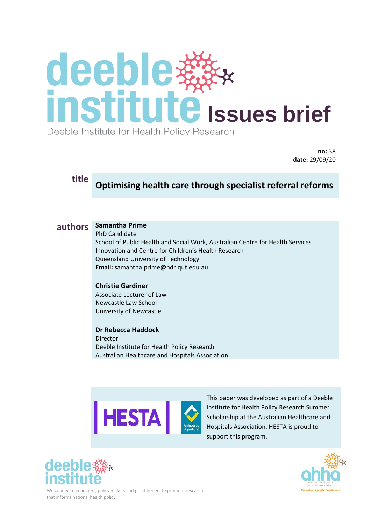# **Ideeble With**<br> **Institute** Issues brief Deeble Institute for Health Policy Research

**no:** 38 **date:** 29/09/20

# **title Optimising health care through specialist referral reforms**

### **authors Samantha Prime**

PhD Candidate

School of Public Health and Social Work, Australian Centre for Health Services Innovation and Centre for Children's Health Research Queensland University of Technology **Email:** samantha.prime@hdr.qut.edu.au

### **Christie Gardiner**

Associate Lecturer of Law Newcastle Law School University of Newcastle

**Dr Rebecca Haddock**  Director Deeble Institute for Health Policy Research Australian Healthcare and Hospitals Association



This paper was developed as part of a Deeble Institute for Health Policy Research Summer Scholarship at the Australian Healthcare and Hospitals Association. HESTA is proud to support this program.





We connect researchers, policy makers and practitioners to promote research that informs national health policy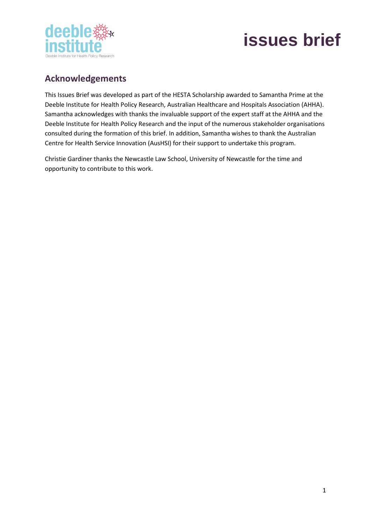

# **Acknowledgements**

This Issues Brief was developed as part of the HESTA Scholarship awarded to Samantha Prime at the Deeble Institute for Health Policy Research, Australian Healthcare and Hospitals Association (AHHA). Samantha acknowledges with thanks the invaluable support of the expert staff at the AHHA and the Deeble Institute for Health Policy Research and the input of the numerous stakeholder organisations consulted during the formation of this brief. In addition, Samantha wishes to thank the Australian Centre for Health Service Innovation (AusHSI) for their support to undertake this program.

Christie Gardiner thanks the Newcastle Law School, University of Newcastle for the time and opportunity to contribute to this work.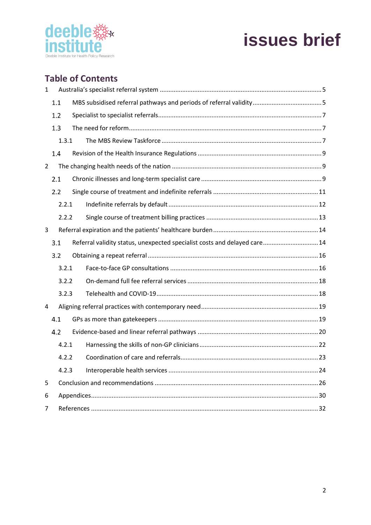

# **Table of Contents**

| 1              |       |       |  |                                                                           |  |
|----------------|-------|-------|--|---------------------------------------------------------------------------|--|
|                |       | 1.1   |  |                                                                           |  |
|                |       | 1.2   |  |                                                                           |  |
|                |       | 1.3   |  |                                                                           |  |
|                |       | 1.3.1 |  |                                                                           |  |
|                | 1.4   |       |  |                                                                           |  |
| $\overline{2}$ |       |       |  |                                                                           |  |
|                | 2.1   |       |  |                                                                           |  |
|                | 2.2   |       |  |                                                                           |  |
|                | 2.2.1 |       |  |                                                                           |  |
|                | 2.2.2 |       |  |                                                                           |  |
| 3              |       |       |  |                                                                           |  |
|                | 3.1   |       |  | Referral validity status, unexpected specialist costs and delayed care 14 |  |
|                |       |       |  |                                                                           |  |
|                | 3.2   |       |  |                                                                           |  |
|                |       | 3.2.1 |  |                                                                           |  |
|                |       | 3.2.2 |  |                                                                           |  |
|                |       | 3.2.3 |  |                                                                           |  |
| 4              |       |       |  |                                                                           |  |
|                | 4.1   |       |  |                                                                           |  |
|                | 4.2   |       |  |                                                                           |  |
|                |       | 4.2.1 |  |                                                                           |  |
|                |       | 4.2.2 |  |                                                                           |  |
|                |       | 4.2.3 |  |                                                                           |  |
| 5              |       |       |  |                                                                           |  |
| 6              |       |       |  |                                                                           |  |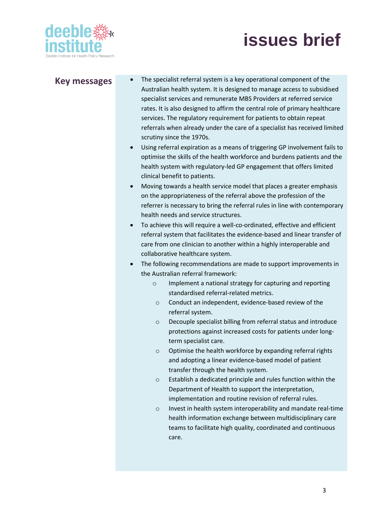

- **Key messages** The specialist referral system is a key operational component of the Australian health system. It is designed to manage access to subsidised specialist services and remunerate MBS Providers at referred service rates. It is also designed to affirm the central role of primary healthcare services. The regulatory requirement for patients to obtain repeat referrals when already under the care of a specialist has received limited scrutiny since the 1970s.
	- Using referral expiration as a means of triggering GP involvement fails to optimise the skills of the health workforce and burdens patients and the health system with regulatory-led GP engagement that offers limited clinical benefit to patients.
	- Moving towards a health service model that places a greater emphasis on the appropriateness of the referral above the profession of the referrer is necessary to bring the referral rules in line with contemporary health needs and service structures.
	- To achieve this will require a well-co-ordinated, effective and efficient referral system that facilitates the evidence-based and linear transfer of care from one clinician to another within a highly interoperable and collaborative healthcare system.
	- The following recommendations are made to support improvements in the Australian referral framework:
		- o Implement a national strategy for capturing and reporting standardised referral-related metrics.
		- o Conduct an independent, evidence-based review of the referral system.
		- o Decouple specialist billing from referral status and introduce protections against increased costs for patients under longterm specialist care.
		- o Optimise the health workforce by expanding referral rights and adopting a linear evidence-based model of patient transfer through the health system.
		- o Establish a dedicated principle and rules function within the Department of Health to support the interpretation, implementation and routine revision of referral rules.
		- o Invest in health system interoperability and mandate real-time health information exchange between multidisciplinary care teams to facilitate high quality, coordinated and continuous care.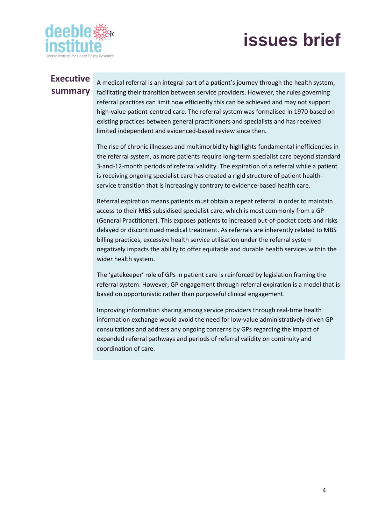

# **Executive summary**

A medical referral is an integral part of a patient's journey through the health system, facilitating their transition between service providers. However, the rules governing referral practices can limit how efficiently this can be achieved and may not support high-value patient-centred care. The referral system was formalised in 1970 based on existing practices between general practitioners and specialists and has received limited independent and evidenced-based review since then.

The rise of chronic illnesses and multimorbidity highlights fundamental inefficiencies in the referral system, as more patients require long-term specialist care beyond standard 3-and-12-month periods of referral validity. The expiration of a referral while a patient is receiving ongoing specialist care has created a rigid structure of patient healthservice transition that is increasingly contrary to evidence-based health care.

Referral expiration means patients must obtain a repeat referral in order to maintain access to their MBS subsidised specialist care, which is most commonly from a GP (General Practitioner). This exposes patients to increased out-of-pocket costs and risks delayed or discontinued medical treatment. As referrals are inherently related to MBS billing practices, excessive health service utilisation under the referral system negatively impacts the ability to offer equitable and durable health services within the wider health system.

The 'gatekeeper' role of GPs in patient care is reinforced by legislation framing the referral system. However, GP engagement through referral expiration is a model that is based on opportunistic rather than purposeful clinical engagement.

Improving information sharing among service providers through real-time health information exchange would avoid the need for low-value administratively driven GP consultations and address any ongoing concerns by GPs regarding the impact of expanded referral pathways and periods of referral validity on continuity and coordination of care.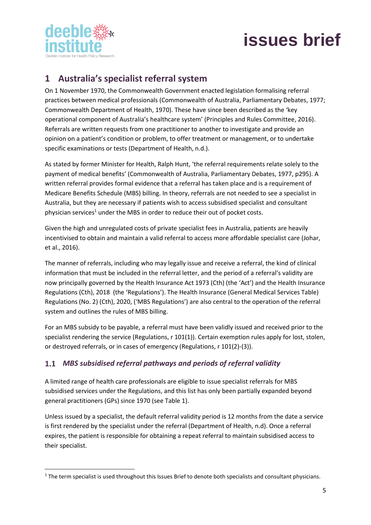

# <span id="page-5-0"></span>**1 Australia's specialist referral system**

On 1 November 1970, the Commonwealth Government enacted legislation formalising referral practices between medical professionals (Commonwealth of Australia, Parliamentary Debates, 1977; Commonwealth Department of Health, 1970). These have since been described as the 'key operational component of Australia's healthcare system' (Principles and Rules Committee, 2016). Referrals are written requests from one practitioner to another to investigate and provide an opinion on a patient's condition or problem, to offer treatment or management, or to undertake specific examinations or tests (Department of Health, n.d.).

As stated by former Minister for Health, Ralph Hunt, 'the referral requirements relate solely to the payment of medical benefits' (Commonwealth of Australia, Parliamentary Debates, 1977, p295). A written referral provides formal evidence that a referral has taken place and is a requirement of Medicare Benefits Schedule (MBS) billing. In theory, referrals are not needed to see a specialist in Australia, but they are necessary if patients wish to access subsidised specialist and consultant physician services<sup>1</sup> under the MBS in order to reduce their out of pocket costs.

Given the high and unregulated costs of private specialist fees in Australia, patients are heavily incentivised to obtain and maintain a valid referral to access more affordable specialist care (Johar, et al., 2016).

The manner of referrals, including who may legally issue and receive a referral, the kind of clinical information that must be included in the referral letter, and the period of a referral's validity are now principally governed by the Health Insurance Act 1973 (Cth) (the 'Act') and the Health Insurance Regulations (Cth), 2018 (the 'Regulations'). The Health Insurance (General Medical Services Table) Regulations (No. 2) (Cth), 2020, ('MBS Regulations') are also central to the operation of the referral system and outlines the rules of MBS billing.

For an MBS subsidy to be payable, a referral must have been validly issued and received prior to the specialist rendering the service (Regulations, r 101(1)). Certain exemption rules apply for lost, stolen, or destroyed referrals, or in cases of emergency (Regulations, r 101(2)-(3)).

### <span id="page-5-1"></span>*MBS subsidised referral pathways and periods of referral validity*

A limited range of health care professionals are eligible to issue specialist referrals for MBS subsidised services under the Regulations, and this list has only been partially expanded beyond general practitioners (GPs) since 1970 (see Table 1).

Unless issued by a specialist, the default referral validity period is 12 months from the date a service is first rendered by the specialist under the referral (Department of Health, n.d). Once a referral expires, the patient is responsible for obtaining a repeat referral to maintain subsidised access to their specialist.

 $1$  The term specialist is used throughout this Issues Brief to denote both specialists and consultant physicians.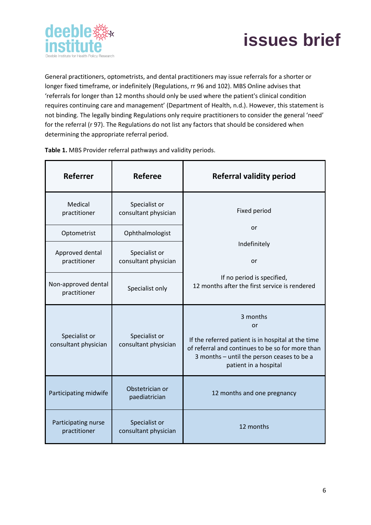



General practitioners, optometrists, and dental practitioners may issue referrals for a shorter or longer fixed timeframe, or indefinitely (Regulations, rr 96 and 102). MBS Online advises that 'referrals for longer than 12 months should only be used where the patient's clinical condition requires continuing care and management' (Department of Health, n.d.). However, this statement is not binding. The legally binding Regulations only require practitioners to consider the general 'need' for the referral (r 97). The Regulations do not list any factors that should be considered when determining the appropriate referral period.

| <b>Referrer</b>                       | <b>Referee</b>                        | <b>Referral validity period</b>                                                                                                                                                                 |
|---------------------------------------|---------------------------------------|-------------------------------------------------------------------------------------------------------------------------------------------------------------------------------------------------|
| Medical<br>practitioner               | Specialist or<br>consultant physician | Fixed period                                                                                                                                                                                    |
| Optometrist                           | Ophthalmologist                       | or                                                                                                                                                                                              |
| Approved dental                       | Specialist or                         | Indefinitely                                                                                                                                                                                    |
| practitioner                          | consultant physician                  | or                                                                                                                                                                                              |
| Non-approved dental<br>practitioner   | Specialist only                       | If no period is specified,<br>12 months after the first service is rendered                                                                                                                     |
| Specialist or<br>consultant physician | Specialist or<br>consultant physician | 3 months<br>or<br>If the referred patient is in hospital at the time<br>of referral and continues to be so for more than<br>3 months - until the person ceases to be a<br>patient in a hospital |
| Participating midwife                 | Obstetrician or<br>paediatrician      | 12 months and one pregnancy                                                                                                                                                                     |
| Participating nurse<br>practitioner   | Specialist or<br>consultant physician | 12 months                                                                                                                                                                                       |

**Table 1.** MBS Provider referral pathways and validity periods.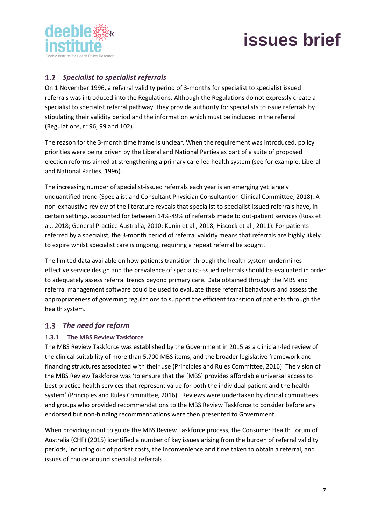

## <span id="page-7-0"></span>*Specialist to specialist referrals*

On 1 November 1996, a referral validity period of 3-months for specialist to specialist issued referrals was introduced into the Regulations. Although the Regulations do not expressly create a specialist to specialist referral pathway, they provide authority for specialists to issue referrals by stipulating their validity period and the information which must be included in the referral (Regulations, rr 96, 99 and 102).

The reason for the 3-month time frame is unclear. When the requirement was introduced, policy priorities were being driven by the Liberal and National Parties as part of a suite of proposed election reforms aimed at strengthening a primary care-led health system (see for example, Liberal and National Parties, 1996).

The increasing number of specialist-issued referrals each year is an emerging yet largely unquantified trend (Specialist and Consultant Physician Consultantion Clinical Committee, 2018). A non-exhaustive review of the literature reveals that specialist to specialist issued referrals have, in certain settings, accounted for between 14%-49% of referrals made to out-patient services (Ross et al., 2018; General Practice Australia, 2010; Kunin et al., 2018; Hiscock et al., 2011). For patients referred by a specialist, the 3-month period of referral validity means that referrals are highly likely to expire whilst specialist care is ongoing, requiring a repeat referral be sought.

The limited data available on how patients transition through the health system undermines effective service design and the prevalence of specialist-issued referrals should be evaluated in order to adequately assess referral trends beyond primary care. Data obtained through the MBS and referral management software could be used to evaluate these referral behaviours and assess the appropriateness of governing regulations to support the efficient transition of patients through the health system.

### <span id="page-7-1"></span>*The need for reform*

### <span id="page-7-2"></span>**1.3.1 The MBS Review Taskforce**

The MBS Review Taskforce was established by the Government in 2015 as a clinician-led review of the clinical suitability of more than 5,700 MBS items, and the broader legislative framework and financing structures associated with their use (Principles and Rules Committee, 2016). The vision of the MBS Review Taskforce was 'to ensure that the [MBS] provides affordable universal access to best practice health services that represent value for both the individual patient and the health system' (Principles and Rules Committee, 2016). Reviews were undertaken by clinical committees and groups who provided recommendations to the MBS Review Taskforce to consider before any endorsed but non-binding recommendations were then presented to Government.

When providing input to guide the MBS Review Taskforce process, the Consumer Health Forum of Australia (CHF) (2015) identified a number of key issues arising from the burden of referral validity periods, including out of pocket costs, the inconvenience and time taken to obtain a referral, and issues of choice around specialist referrals.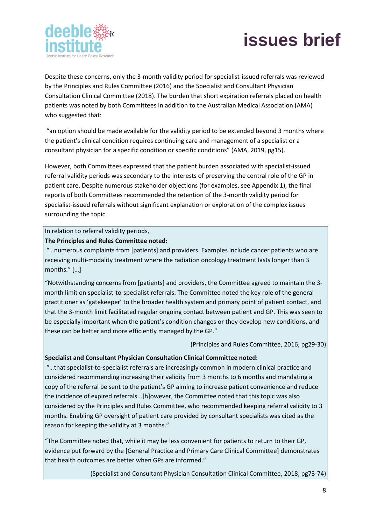



Despite these concerns, only the 3-month validity period for specialist-issued referrals was reviewed by the Principles and Rules Committee (2016) and the Specialist and Consultant Physician Consultation Clinical Committee (2018). The burden that short expiration referrals placed on health patients was noted by both Committees in addition to the Australian Medical Association (AMA) who suggested that:

"an option should be made available for the validity period to be extended beyond 3 months where the patient's clinical condition requires continuing care and management of a specialist or a consultant physician for a specific condition or specific conditions" (AMA, 2019, pg15).

However, both Committees expressed that the patient burden associated with specialist-issued referral validity periods was secondary to the interests of preserving the central role of the GP in patient care. Despite numerous stakeholder objections (for examples, see Appendix 1), the final reports of both Committees recommended the retention of the 3-month validity period for specialist-issued referrals without significant explanation or exploration of the complex issues surrounding the topic.

#### In relation to referral validity periods,

#### **The Principles and Rules Committee noted:**

"…numerous complaints from [patients] and providers. Examples include cancer patients who are receiving multi-modality treatment where the radiation oncology treatment lasts longer than 3 months." […]

"Notwithstanding concerns from [patients] and providers, the Committee agreed to maintain the 3 month limit on specialist-to-specialist referrals. The Committee noted the key role of the general practitioner as 'gatekeeper' to the broader health system and primary point of patient contact, and that the 3-month limit facilitated regular ongoing contact between patient and GP. This was seen to be especially important when the patient's condition changes or they develop new conditions, and these can be better and more efficiently managed by the GP."

(Principles and Rules Committee, 2016, pg29-30)

#### **Specialist and Consultant Physician Consultation Clinical Committee noted:**

"…that specialist-to-specialist referrals are increasingly common in modern clinical practice and considered recommending increasing their validity from 3 months to 6 months and mandating a copy of the referral be sent to the patient's GP aiming to increase patient convenience and reduce the incidence of expired referrals...[h]owever, the Committee noted that this topic was also considered by the Principles and Rules Committee, who recommended keeping referral validity to 3 months. Enabling GP oversight of patient care provided by consultant specialists was cited as the reason for keeping the validity at 3 months."

"The Committee noted that, while it may be less convenient for patients to return to their GP, evidence put forward by the [General Practice and Primary Care Clinical Committee] demonstrates that health outcomes are better when GPs are informed."

(Specialist and Consultant Physician Consultation Clinical Committee, 2018, pg73-74)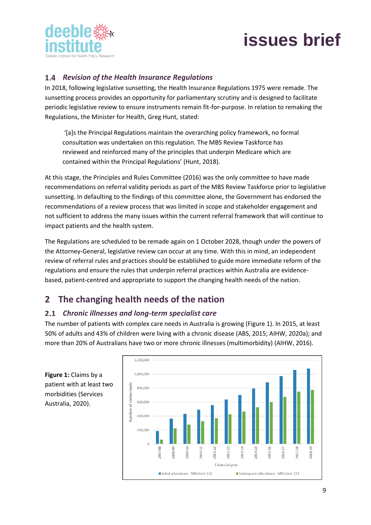

### <span id="page-9-0"></span>*Revision of the Health Insurance Regulations*

In 2018, following legislative sunsetting, the Health Insurance Regulations 1975 were remade. The sunsetting process provides an opportunity for parliamentary scrutiny and is designed to facilitate periodic legislative review to ensure instruments remain fit-for-purpose. In relation to remaking the Regulations, the Minister for Health, Greg Hunt, stated:

'[a]s the Principal Regulations maintain the overarching policy framework, no formal consultation was undertaken on this regulation. The MBS Review Taskforce has reviewed and reinforced many of the principles that underpin Medicare which are contained within the Principal Regulations' (Hunt, 2018).

At this stage, the Principles and Rules Committee (2016) was the only committee to have made recommendations on referral validity periods as part of the MBS Review Taskforce prior to legislative sunsetting. In defaulting to the findings of this committee alone, the Government has endorsed the recommendations of a review process that was limited in scope and stakeholder engagement and not sufficient to address the many issues within the current referral framework that will continue to impact patients and the health system.

The Regulations are scheduled to be remade again on 1 October 2028, though under the powers of the Attorney-General, legislative review can occur at any time. With this in mind, an independent review of referral rules and practices should be established to guide more immediate reform of the regulations and ensure the rules that underpin referral practices within Australia are evidencebased, patient-centred and appropriate to support the changing health needs of the nation.

# <span id="page-9-1"></span>**2 The changing health needs of the nation**

### <span id="page-9-2"></span>*Chronic illnesses and long-term specialist care*

The number of patients with complex care needs in Australia is growing (Figure 1). In 2015, at least 50% of adults and 43% of children were living with a chronic disease (ABS, 2015; AIHW, 2020a); and more than 20% of Australians have two or more chronic illnesses (multimorbidity) (AIHW, 2016).



**Figure 1:** Claims by a patient with at least two morbidities (Services Australia, 2020).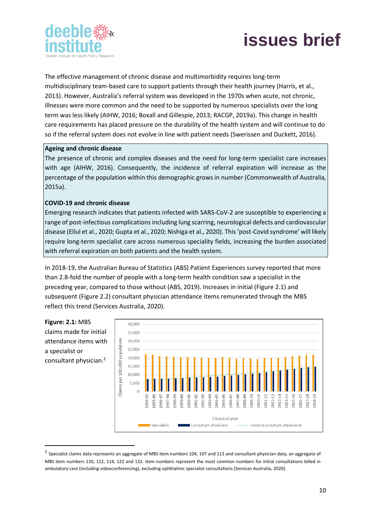



The effective management of chronic disease and multimorbidity requires long-term multidisciplinary team-based care to support patients through their health journey (Harris, et al., 2013). However, Australia's referral system was developed in the 1970s when acute, not chronic, illnesses were more common and the need to be supported by numerous specialists over the long term was less likely (AIHW, 2016; Boxall and Gillespie, 2013; RACGP, 2019a). This change in health care requirements has placed pressure on the durability of the health system and will continue to do so if the referral system does not evolve in line with patient needs (Swerissen and Duckett, 2016).

#### **Ageing and chronic disease**

The presence of chronic and complex diseases and the need for long-term specialist care increases with age (AIHW, 2016). Consequently, the incidence of referral expiration will increase as the percentage of the population within this demographic grows in number (Commonwealth of Australia, 2015a).

#### **COVID-19 and chronic disease**

a specialist or

Emerging research indicates that patients infected with SARS-CoV-2 are susceptible to experiencing a range of post-infectious complications including lung scarring, neurological defects and cardiovascular disease (Ellul et al., 2020; Gupta et al., 2020; Nishiga et al., 2020). This 'post-Covid syndrome' will likely require long-term specialist care across numerous speciality fields, increasing the burden associated with referral expiration on both patients and the health system.

In 2018-19, the Australian Bureau of Statistics (ABS) Patient Experiences survey reported that more than 2.8-fold the number of people with a long-term health condition saw a specialist in the preceding year, compared to those without (ABS, 2019). Increases in initial (Figure 2.1) and subsequent (Figure 2.2) consultant physician attendance items remunerated through the MBS reflect this trend (Services Australia, 2020).



 $^2$  Specialist claims data represents an aggregate of MBS item numbers 104, 107 and 113 and consultant physician data, an aggregate of MBS item numbers 110, 112, 114, 122 and 132. Item numbers represent the most common numbers for initial consultations billed in ambulatory care (including videoconferencing), excluding ophthalmic specialist consultations (Services Australia, 2020).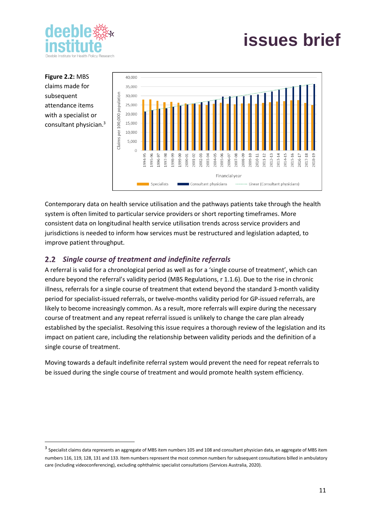

**Figure 2.2:** MBS claims made for subsequent attendance items with a specialist or consultant physician.<sup>3</sup>



Contemporary data on health service utilisation and the pathways patients take through the health system is often limited to particular service providers or short reporting timeframes. More consistent data on longitudinal health service utilisation trends across service providers and jurisdictions is needed to inform how services must be restructured and legislation adapted, to improve patient throughput.

### <span id="page-11-0"></span>*Single course of treatment and indefinite referrals*

A referral is valid for a chronological period as well as for a 'single course of treatment', which can endure beyond the referral's validity period (MBS Regulations, r 1.1.6). Due to the rise in chronic illness, referrals for a single course of treatment that extend beyond the standard 3-month validity period for specialist-issued referrals, or twelve-months validity period for GP-issued referrals, are likely to become increasingly common. As a result, more referrals will expire during the necessary course of treatment and any repeat referral issued is unlikely to change the care plan already established by the specialist. Resolving this issue requires a thorough review of the legislation and its impact on patient care, including the relationship between validity periods and the definition of a single course of treatment.

Moving towards a default indefinite referral system would prevent the need for repeat referrals to be issued during the single course of treatment and would promote health system efficiency.

 $^3$  Specialist claims data represents an aggregate of MBS item numbers 105 and 108 and consultant physician data, an aggregate of MBS item numbers 116, 119, 128, 131 and 133. Item numbers represent the most common numbers for subsequent consultations billed in ambulatory care (including videoconferencing), excluding ophthalmic specialist consultations (Services Australia, 2020).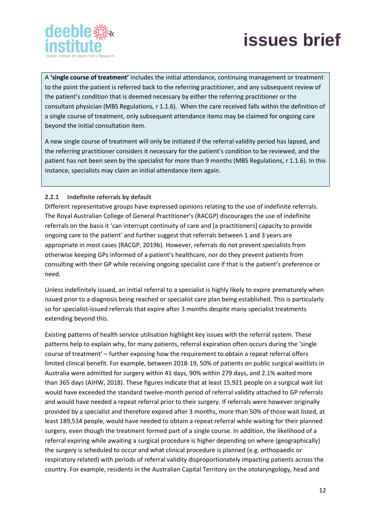



A **'single course of treatment'** includes the initial attendance, continuing management or treatment to the point the patient is referred back to the referring practitioner, and any subsequent review of the patient's condition that is deemed necessary by either the referring practitioner or the consultant physician (MBS Regulations, r 1.1.6). When the care received falls within the definition of a single course of treatment, only subsequent attendance items may be claimed for ongoing care beyond the initial consultation item.

A new single course of treatment will only be initiated if the referral validity period has lapsed, and the referring practitioner considers it necessary for the patient's condition to be reviewed, and the patient has not been seen by the specialist for more than 9 months (MBS Regulations, r 1.1.6). In this instance, specialists may claim an initial attendance item again.

#### <span id="page-12-0"></span>**2.2.1 Indefinite referrals by default**

Different representative groups have expressed opinions relating to the use of indefinite referrals. The Royal Australian College of General Practitioner's (RACGP) discourages the use of indefinite referrals on the basis it 'can interrupt continuity of care and [a practitioners] capacity to provide ongoing care to the patient' and further suggest that referrals between 1 and 3 years are appropriate in most cases (RACGP, 2019b). However, referrals do not prevent specialists from otherwise keeping GPs informed of a patient's healthcare, nor do they prevent patients from consulting with their GP while receiving ongoing specialist care if that is the patient's preference or need.

Unless indefinitely issued, an initial referral to a specialist is highly likely to expire prematurely when issued prior to a diagnosis being reached or specialist care plan being established. This is particularly so for specialist-issued referrals that expire after 3 months despite many specialist treatments extending beyond this.

Existing patterns of health service utilisation highlight key issues with the referral system. These patterns help to explain why, for many patients, referral expiration often occurs during the 'single course of treatment' – further exposing how the requirement to obtain a repeat referral offers limited clinical benefit. For example, between 2018-19, 50% of patients on public surgical waitlists in Australia were admitted for surgery within 41 days, 90% within 279 days, and 2.1% waited more than 365 days (AIHW, 2018). These figures indicate that at least 15,921 people on a surgical wait list would have exceeded the standard twelve-month period of referral validity attached to GP referrals and would have needed a repeat referral prior to their surgery. If referrals were however originally provided by a specialist and therefore expired after 3 months, more than 50% of those wait listed, at least 189,534 people, would have needed to obtain a repeat referral while waiting for their planned surgery, even though the treatment formed part of a single course. In addition, the likelihood of a referral expiring while awaiting a surgical procedure is higher depending on where (geographically) the surgery is scheduled to occur and what clinical procedure is planned (e.g. orthopaedic or respiratory related) with periods of referral validity disproportionately impacting patients across the country. For example, residents in the Australian Capital Territory on the otolaryngology, head and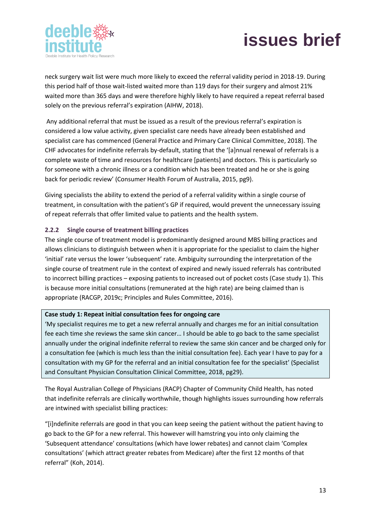



neck surgery wait list were much more likely to exceed the referral validity period in 2018-19. During this period half of those wait-listed waited more than 119 days for their surgery and almost 21% waited more than 365 days and were therefore highly likely to have required a repeat referral based solely on the previous referral's expiration (AIHW, 2018).

Any additional referral that must be issued as a result of the previous referral's expiration is considered a low value activity, given specialist care needs have already been established and specialist care has commenced (General Practice and Primary Care Clinical Committee, 2018). The CHF advocates for indefinite referrals by-default, stating that the '[a]nnual renewal of referrals is a complete waste of time and resources for healthcare [patients] and doctors. This is particularly so for someone with a chronic illness or a condition which has been treated and he or she is going back for periodic review' (Consumer Health Forum of Australia, 2015, pg9).

Giving specialists the ability to extend the period of a referral validity within a single course of treatment, in consultation with the patient's GP if required, would prevent the unnecessary issuing of repeat referrals that offer limited value to patients and the health system.

### <span id="page-13-0"></span>**2.2.2 Single course of treatment billing practices**

The single course of treatment model is predominantly designed around MBS billing practices and allows clinicians to distinguish between when it is appropriate for the specialist to claim the higher 'initial' rate versus the lower 'subsequent' rate. Ambiguity surrounding the interpretation of the single course of treatment rule in the context of expired and newly issued referrals has contributed to incorrect billing practices – exposing patients to increased out of pocket costs (Case study 1). This is because more initial consultations (remunerated at the high rate) are being claimed than is appropriate (RACGP, 2019c; Principles and Rules Committee, 2016).

#### **Case study 1: Repeat initial consultation fees for ongoing care**

'My specialist requires me to get a new referral annually and charges me for an initial consultation fee each time she reviews the same skin cancer… I should be able to go back to the same specialist annually under the original indefinite referral to review the same skin cancer and be charged only for a consultation fee (which is much less than the initial consultation fee). Each year I have to pay for a consultation with my GP for the referral and an initial consultation fee for the specialist' (Specialist and Consultant Physician Consultation Clinical Committee, 2018, pg29).

The Royal Australian College of Physicians (RACP) Chapter of Community Child Health, has noted that indefinite referrals are clinically worthwhile, though highlights issues surrounding how referrals are intwined with specialist billing practices:

"[i]ndefinite referrals are good in that you can keep seeing the patient without the patient having to go back to the GP for a new referral. This however will hamstring you into only claiming the 'Subsequent attendance' consultations (which have lower rebates) and cannot claim 'Complex consultations' (which attract greater rebates from Medicare) after the first 12 months of that referral" (Koh, 2014).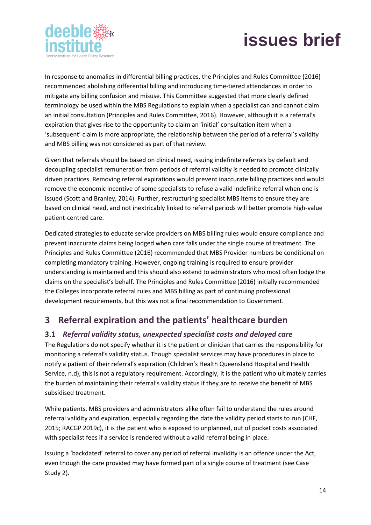



In response to anomalies in differential billing practices, the Principles and Rules Committee (2016) recommended abolishing differential billing and introducing time-tiered attendances in order to mitigate any billing confusion and misuse. This Committee suggested that more clearly defined terminology be used within the MBS Regulations to explain when a specialist can and cannot claim an initial consultation (Principles and Rules Committee, 2016). However, although it is a referral's expiration that gives rise to the opportunity to claim an 'initial' consultation item when a 'subsequent' claim is more appropriate, the relationship between the period of a referral's validity and MBS billing was not considered as part of that review.

Given that referrals should be based on clinical need, issuing indefinite referrals by default and decoupling specialist remuneration from periods of referral validity is needed to promote clinically driven practices. Removing referral expirations would prevent inaccurate billing practices and would remove the economic incentive of some specialists to refuse a valid indefinite referral when one is issued (Scott and Branley, 2014). Further, restructuring specialist MBS items to ensure they are based on clinical need, and not inextricably linked to referral periods will better promote high-value patient-centred care.

Dedicated strategies to educate service providers on MBS billing rules would ensure compliance and prevent inaccurate claims being lodged when care falls under the single course of treatment. The Principles and Rules Committee (2016) recommended that MBS Provider numbers be conditional on completing mandatory training. However, ongoing training is required to ensure provider understanding is maintained and this should also extend to administrators who most often lodge the claims on the specialist's behalf. The Principles and Rules Committee (2016) initially recommended the Colleges incorporate referral rules and MBS billing as part of continuing professional development requirements, but this was not a final recommendation to Government.

# <span id="page-14-0"></span>**3 Referral expiration and the patients' healthcare burden**

### <span id="page-14-1"></span>*Referral validity status, unexpected specialist costs and delayed care*

The Regulations do not specify whether it is the patient or clinician that carries the responsibility for monitoring a referral's validity status. Though specialist services may have procedures in place to notify a patient of their referral's expiration (Children's Health Queensland Hospital and Health Service, n.d), this is not a regulatory requirement. Accordingly, it is the patient who ultimately carries the burden of maintaining their referral's validity status if they are to receive the benefit of MBS subsidised treatment.

While patients, MBS providers and administrators alike often fail to understand the rules around referral validity and expiration, especially regarding the date the validity period starts to run (CHF, 2015; RACGP 2019c), it is the patient who is exposed to unplanned, out of pocket costs associated with specialist fees if a service is rendered without a valid referral being in place.

Issuing a 'backdated' referral to cover any period of referral invalidity is an offence under the Act, even though the care provided may have formed part of a single course of treatment (see Case Study 2).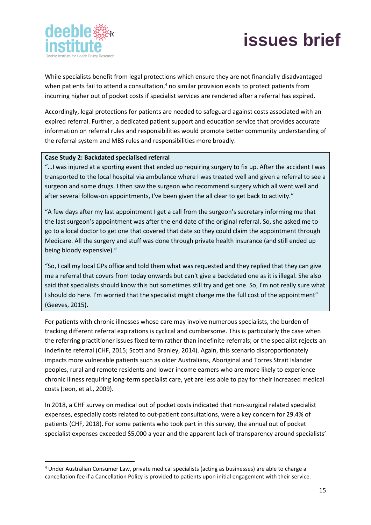



While specialists benefit from legal protections which ensure they are not financially disadvantaged when patients fail to attend a consultation,<sup>4</sup> no similar provision exists to protect patients from incurring higher out of pocket costs if specialist services are rendered after a referral has expired.

Accordingly, legal protections for patients are needed to safeguard against costs associated with an expired referral. Further, a dedicated patient support and education service that provides accurate information on referral rules and responsibilities would promote better community understanding of the referral system and MBS rules and responsibilities more broadly.

#### **Case Study 2: Backdated specialised referral**

"…I was injured at a sporting event that ended up requiring surgery to fix up. After the accident I was transported to the local hospital via ambulance where I was treated well and given a referral to see a surgeon and some drugs. I then saw the surgeon who recommend surgery which all went well and after several follow-on appointments, I've been given the all clear to get back to activity."

"A few days after my last appointment I get a call from the surgeon's secretary informing me that the last surgeon's appointment was after the end date of the original referral. So, she asked me to go to a local doctor to get one that covered that date so they could claim the appointment through Medicare. All the surgery and stuff was done through private health insurance (and still ended up being bloody expensive)."

"So, I call my local GPs office and told them what was requested and they replied that they can give me a referral that covers from today onwards but can't give a backdated one as it is illegal. She also said that specialists should know this but sometimes still try and get one. So, I'm not really sure what I should do here. I'm worried that the specialist might charge me the full cost of the appointment" (Geeves, 2015).

For patients with chronic illnesses whose care may involve numerous specialists, the burden of tracking different referral expirations is cyclical and cumbersome. This is particularly the case when the referring practitioner issues fixed term rather than indefinite referrals; or the specialist rejects an indefinite referral (CHF, 2015; Scott and Branley, 2014). Again, this scenario disproportionately impacts more vulnerable patients such as older Australians, Aboriginal and Torres Strait Islander peoples, rural and remote residents and lower income earners who are more likely to experience chronic illness requiring long-term specialist care, yet are less able to pay for their increased medical costs (Jeon, et al., 2009).

In 2018, a CHF survey on medical out of pocket costs indicated that non-surgical related specialist expenses, especially costs related to out-patient consultations, were a key concern for 29.4% of patients (CHF, 2018). For some patients who took part in this survey, the annual out of pocket specialist expenses exceeded \$5,000 a year and the apparent lack of transparency around specialists'

<sup>4</sup> Under Australian Consumer Law, private medical specialists (acting as businesses) are able to charge a cancellation fee if a Cancellation Policy is provided to patients upon initial engagement with their service.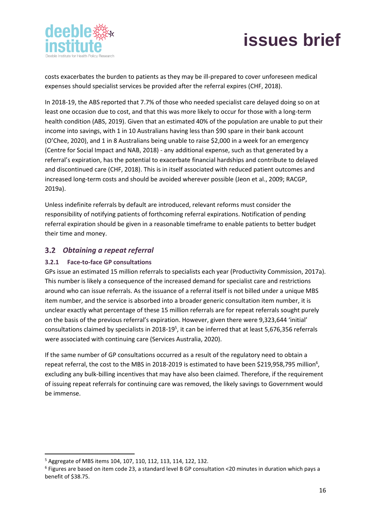



costs exacerbates the burden to patients as they may be ill-prepared to cover unforeseen medical expenses should specialist services be provided after the referral expires (CHF, 2018).

In 2018-19, the ABS reported that 7.7% of those who needed specialist care delayed doing so on at least one occasion due to cost, and that this was more likely to occur for those with a long-term health condition (ABS, 2019). Given that an estimated 40% of the population are unable to put their income into savings, with 1 in 10 Australians having less than \$90 spare in their bank account (O'Chee, 2020), and 1 in 8 Australians being unable to raise \$2,000 in a week for an emergency (Centre for Social Impact and NAB, 2018) - any additional expense, such as that generated by a referral's expiration, has the potential to exacerbate financial hardships and contribute to delayed and discontinued care (CHF, 2018). This is in itself associated with reduced patient outcomes and increased long-term costs and should be avoided wherever possible (Jeon et al., 2009; RACGP, 2019a).

Unless indefinite referrals by default are introduced, relevant reforms must consider the responsibility of notifying patients of forthcoming referral expirations. Notification of pending referral expiration should be given in a reasonable timeframe to enable patients to better budget their time and money.

### <span id="page-16-0"></span>*Obtaining a repeat referral*

### <span id="page-16-1"></span>**3.2.1 Face-to-face GP consultations**

GPs issue an estimated 15 million referrals to specialists each year (Productivity Commission, 2017a). This number is likely a consequence of the increased demand for specialist care and restrictions around who can issue referrals. As the issuance of a referral itself is not billed under a unique MBS item number, and the service is absorbed into a broader generic consultation item number, it is unclear exactly what percentage of these 15 million referrals are for repeat referrals sought purely on the basis of the previous referral's expiration. However, given there were 9,323,644 'initial' consultations claimed by specialists in 2018-19<sup>5</sup>, it can be inferred that at least 5,676,356 referrals were associated with continuing care (Services Australia, 2020).

If the same number of GP consultations occurred as a result of the regulatory need to obtain a repeat referral, the cost to the MBS in 2018-2019 is estimated to have been \$219,958,795 million<sup>6</sup>, excluding any bulk-billing incentives that may have also been claimed. Therefore, if the requirement of issuing repeat referrals for continuing care was removed, the likely savings to Government would be immense.

<sup>5</sup> Aggregate of MBS items 104, 107, 110, 112, 113, 114, 122, 132.

<sup>6</sup> Figures are based on item code 23, a standard level B GP consultation <20 minutes in duration which pays a benefit of \$38.75.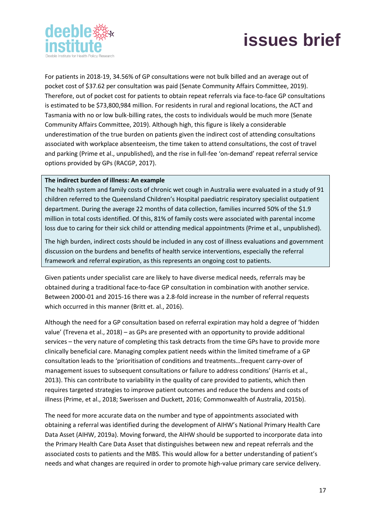



For patients in 2018-19, 34.56% of GP consultations were not bulk billed and an average out of pocket cost of \$37.62 per consultation was paid (Senate Community Affairs Committee, 2019). Therefore, out of pocket cost for patients to obtain repeat referrals via face-to-face GP consultations is estimated to be \$73,800,984 million. For residents in rural and regional locations, the ACT and Tasmania with no or low bulk-billing rates, the costs to individuals would be much more (Senate Community Affairs Committee, 2019). Although high, this figure is likely a considerable underestimation of the true burden on patients given the indirect cost of attending consultations associated with workplace absenteeism, the time taken to attend consultations, the cost of travel and parking (Prime et al., unpublished), and the rise in full-fee 'on-demand' repeat referral service options provided by GPs (RACGP, 2017).

#### **The indirect burden of illness: An example**

The health system and family costs of chronic wet cough in Australia were evaluated in a study of 91 children referred to the Queensland Children's Hospital paediatric respiratory specialist outpatient department. During the average 22 months of data collection, families incurred 50% of the \$1.9 million in total costs identified. Of this, 81% of family costs were associated with parental income loss due to caring for their sick child or attending medical appointments (Prime et al., unpublished).

The high burden, indirect costs should be included in any cost of illness evaluations and government discussion on the burdens and benefits of health service interventions, especially the referral framework and referral expiration, as this represents an ongoing cost to patients.

Given patients under specialist care are likely to have diverse medical needs, referrals may be obtained during a traditional face-to-face GP consultation in combination with another service. Between 2000-01 and 2015-16 there was a 2.8-fold increase in the number of referral requests which occurred in this manner (Britt et. al., 2016).

Although the need for a GP consultation based on referral expiration may hold a degree of 'hidden value' (Trevena et al., 2018) – as GPs are presented with an opportunity to provide additional services – the very nature of completing this task detracts from the time GPs have to provide more clinically beneficial care. Managing complex patient needs within the limited timeframe of a GP consultation leads to the 'prioritisation of conditions and treatments…frequent carry-over of management issues to subsequent consultations or failure to address conditions' (Harris et al., 2013). This can contribute to variability in the quality of care provided to patients, which then requires targeted strategies to improve patient outcomes and reduce the burdens and costs of illness (Prime, et al., 2018; Swerissen and Duckett, 2016; Commonwealth of Australia, 2015b).

The need for more accurate data on the number and type of appointments associated with obtaining a referral was identified during the development of AIHW's National Primary Health Care Data Asset (AIHW, 2019a). Moving forward, the AIHW should be supported to incorporate data into the Primary Health Care Data Asset that distinguishes between new and repeat referrals and the associated costs to patients and the MBS. This would allow for a better understanding of patient's needs and what changes are required in order to promote high-value primary care service delivery.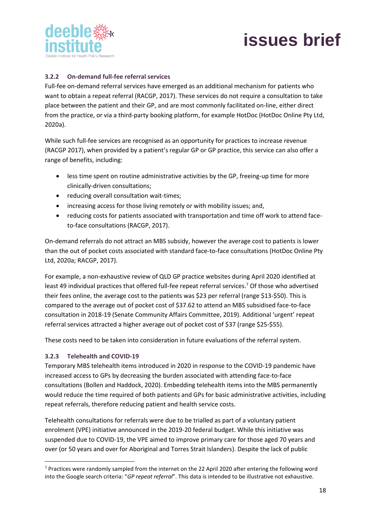

### <span id="page-18-0"></span>**3.2.2 On-demand full-fee referral services**

Full-fee on-demand referral services have emerged as an additional mechanism for patients who want to obtain a repeat referral (RACGP, 2017). These services do not require a consultation to take place between the patient and their GP, and are most commonly facilitated on-line, either direct from the practice, or via a third-party booking platform, for example HotDoc (HotDoc Online Pty Ltd, 2020a).

While such full-fee services are recognised as an opportunity for practices to increase revenue (RACGP 2017), when provided by a patient's regular GP or GP practice, this service can also offer a range of benefits, including:

- less time spent on routine administrative activities by the GP, freeing-up time for more clinically-driven consultations;
- reducing overall consultation wait-times;
- increasing access for those living remotely or with mobility issues; and,
- reducing costs for patients associated with transportation and time off work to attend faceto-face consultations (RACGP, 2017).

On-demand referrals do not attract an MBS subsidy, however the average cost to patients is lower than the out of pocket costs associated with standard face-to-face consultations (HotDoc Online Pty Ltd, 2020a; RACGP, 2017).

For example, a non-exhaustive review of QLD GP practice websites during April 2020 identified at least 49 individual practices that offered full-fee repeat referral services. <sup>7</sup> Of those who advertised their fees online, the average cost to the patients was \$23 per referral (range \$13-\$50). This is compared to the average out of pocket cost of \$37.62 to attend an MBS subsidised face-to-face consultation in 2018-19 (Senate Community Affairs Committee, 2019). Additional 'urgent' repeat referral services attracted a higher average out of pocket cost of \$37 (range \$25-\$55).

These costs need to be taken into consideration in future evaluations of the referral system.

#### <span id="page-18-1"></span>**3.2.3 Telehealth and COVID-19**

Temporary MBS telehealth items introduced in 2020 in response to the COVID-19 pandemic have increased access to GPs by decreasing the burden associated with attending face-to-face consultations (Bollen and Haddock, 2020). Embedding telehealth items into the MBS permanently would reduce the time required of both patients and GPs for basic administrative activities, including repeat referrals, therefore reducing patient and health service costs.

Telehealth consultations for referrals were due to be trialled as part of a voluntary patient enrolment (VPE) initiative announced in the 2019-20 federal budget. While this initiative was suspended due to COVID-19, the VPE aimed to improve primary care for those aged 70 years and over (or 50 years and over for Aboriginal and Torres Strait Islanders). Despite the lack of public

 $7$  Practices were randomly sampled from the internet on the 22 April 2020 after entering the following word into the Google search criteria: "*GP repeat referral*". This data is intended to be illustrative not exhaustive.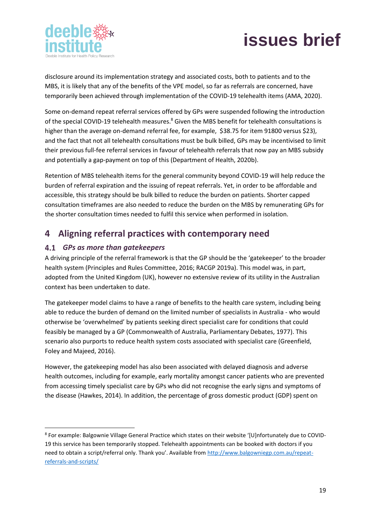



disclosure around its implementation strategy and associated costs, both to patients and to the MBS, it is likely that any of the benefits of the VPE model, so far as referrals are concerned, have temporarily been achieved through implementation of the COVID-19 telehealth items (AMA, 2020).

Some on-demand repeat referral services offered by GPs were suspended following the introduction of the special COVID-19 telehealth measures.<sup>8</sup> Given the MBS benefit for telehealth consultations is higher than the average on-demand referral fee, for example, \$38.75 for item 91800 versus \$23), and the fact that not all telehealth consultations must be bulk billed, GPs may be incentivised to limit their previous full-fee referral services in favour of telehealth referrals that now pay an MBS subsidy and potentially a gap-payment on top of this (Department of Health, 2020b).

Retention of MBS telehealth items for the general community beyond COVID-19 will help reduce the burden of referral expiration and the issuing of repeat referrals. Yet, in order to be affordable and accessible, this strategy should be bulk billed to reduce the burden on patients. Shorter capped consultation timeframes are also needed to reduce the burden on the MBS by remunerating GPs for the shorter consultation times needed to fulfil this service when performed in isolation.

# <span id="page-19-0"></span>**4 Aligning referral practices with contemporary need**

### <span id="page-19-1"></span>*GPs as more than gatekeepers*

A driving principle of the referral framework is that the GP should be the 'gatekeeper' to the broader health system (Principles and Rules Committee, 2016; RACGP 2019a). This model was, in part, adopted from the United Kingdom (UK), however no extensive review of its utility in the Australian context has been undertaken to date.

The gatekeeper model claims to have a range of benefits to the health care system, including being able to reduce the burden of demand on the limited number of specialists in Australia - who would otherwise be 'overwhelmed' by patients seeking direct specialist care for conditions that could feasibly be managed by a GP (Commonwealth of Australia, Parliamentary Debates, 1977). This scenario also purports to reduce health system costs associated with specialist care (Greenfield, Foley and Majeed, 2016).

However, the gatekeeping model has also been associated with delayed diagnosis and adverse health outcomes, including for example, early mortality amongst cancer patients who are prevented from accessing timely specialist care by GPs who did not recognise the early signs and symptoms of the disease (Hawkes, 2014). In addition, the percentage of gross domestic product (GDP) spent on

<sup>&</sup>lt;sup>8</sup> For example: Balgownie Village General Practice which states on their website '[U]nfortunately due to COVID-19 this service has been temporarily stopped. Telehealth appointments can be booked with doctors if you need to obtain a script/referral only. Thank you'. Available from [http://www.balgowniegp.com.au/repeat](about:blank)[referrals-and-scripts/](about:blank)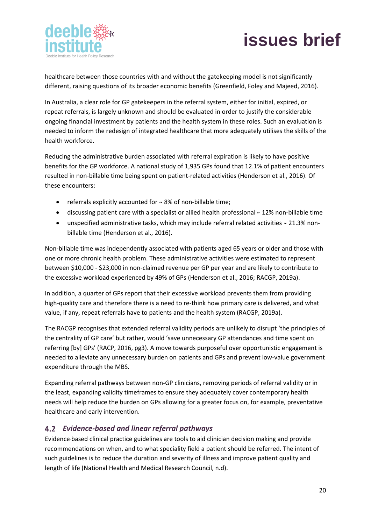



healthcare between those countries with and without the gatekeeping model is not significantly different, raising questions of its broader economic benefits (Greenfield, Foley and Majeed, 2016).

In Australia, a clear role for GP gatekeepers in the referral system, either for initial, expired, or repeat referrals, is largely unknown and should be evaluated in order to justify the considerable ongoing financial investment by patients and the health system in these roles. Such an evaluation is needed to inform the redesign of integrated healthcare that more adequately utilises the skills of the health workforce.

Reducing the administrative burden associated with referral expiration is likely to have positive benefits for the GP workforce. A national study of 1,935 GPs found that 12.1% of patient encounters resulted in non-billable time being spent on patient-related activities (Henderson et al., 2016). Of these encounters:

- referrals explicitly accounted for ~ 8% of non-billable time;
- discussing patient care with a specialist or allied health professional ~ 12% non-billable time
- unspecified administrative tasks, which may include referral related activities ~ 21.3% nonbillable time (Henderson et al., 2016).

Non-billable time was independently associated with patients aged 65 years or older and those with one or more chronic health problem. These administrative activities were estimated to represent between \$10,000 - \$23,000 in non-claimed revenue per GP per year and are likely to contribute to the excessive workload experienced by 49% of GPs (Henderson et al., 2016; RACGP, 2019a).

In addition, a quarter of GPs report that their excessive workload prevents them from providing high-quality care and therefore there is a need to re-think how primary care is delivered, and what value, if any, repeat referrals have to patients and the health system (RACGP, 2019a).

The RACGP recognises that extended referral validity periods are unlikely to disrupt 'the principles of the centrality of GP care' but rather, would 'save unnecessary GP attendances and time spent on referring [by] GPs' (RACP, 2016, pg3). A move towards purposeful over opportunistic engagement is needed to alleviate any unnecessary burden on patients and GPs and prevent low-value government expenditure through the MBS.

Expanding referral pathways between non-GP clinicians, removing periods of referral validity or in the least, expanding validity timeframes to ensure they adequately cover contemporary health needs will help reduce the burden on GPs allowing for a greater focus on, for example, preventative healthcare and early intervention.

### <span id="page-20-0"></span>*Evidence-based and linear referral pathways*

Evidence-based clinical practice guidelines are tools to aid clinician decision making and provide recommendations on when, and to what speciality field a patient should be referred. The intent of such guidelines is to reduce the duration and severity of illness and improve patient quality and length of life (National Health and Medical Research Council, n.d).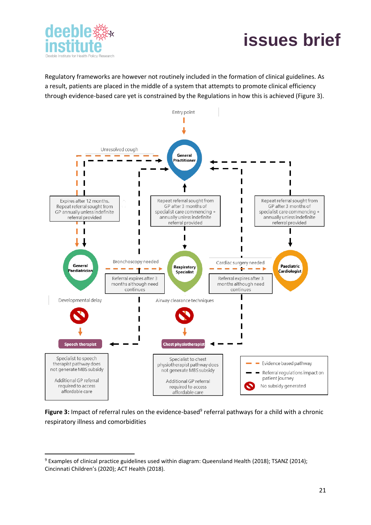



Regulatory frameworks are however not routinely included in the formation of clinical guidelines. As a result, patients are placed in the middle of a system that attempts to promote clinical efficiency through evidence-based care yet is constrained by the Regulations in how this is achieved (Figure 3).



Figure 3: Impact of referral rules on the evidence-based<sup>9</sup> referral pathways for a child with a chronic respiratory illness and comorbidities

<sup>9</sup> Examples of clinical practice guidelines used within diagram: Queensland Health (2018); TSANZ (2014); Cincinnati Children's (2020); ACT Health (2018).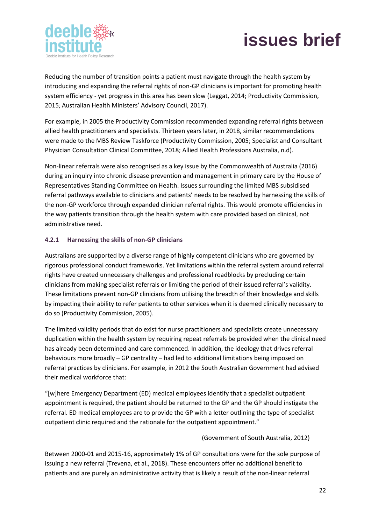



Reducing the number of transition points a patient must navigate through the health system by introducing and expanding the referral rights of non-GP clinicians is important for promoting health system efficiency - yet progress in this area has been slow (Leggat, 2014; Productivity Commission, 2015; Australian Health Ministers' Advisory Council, 2017).

For example, in 2005 the Productivity Commission recommended expanding referral rights between allied health practitioners and specialists. Thirteen years later, in 2018, similar recommendations were made to the MBS Review Taskforce (Productivity Commission, 2005; Specialist and Consultant Physician Consultation Clinical Committee, 2018; Allied Health Professions Australia, n.d).

Non-linear referrals were also recognised as a key issue by the Commonwealth of Australia (2016) during an inquiry into chronic disease prevention and management in primary care by the House of Representatives Standing Committee on Health. Issues surrounding the limited MBS subsidised referral pathways available to clinicians and patients' needs to be resolved by harnessing the skills of the non-GP workforce through expanded clinician referral rights. This would promote efficiencies in the way patients transition through the health system with care provided based on clinical, not administrative need.

#### <span id="page-22-0"></span>**4.2.1 Harnessing the skills of non-GP clinicians**

Australians are supported by a diverse range of highly competent clinicians who are governed by rigorous professional conduct frameworks. Yet limitations within the referral system around referral rights have created unnecessary challenges and professional roadblocks by precluding certain clinicians from making specialist referrals or limiting the period of their issued referral's validity. These limitations prevent non-GP clinicians from utilising the breadth of their knowledge and skills by impacting their ability to refer patients to other services when it is deemed clinically necessary to do so (Productivity Commission, 2005).

The limited validity periods that do exist for nurse practitioners and specialists create unnecessary duplication within the health system by requiring repeat referrals be provided when the clinical need has already been determined and care commenced. In addition, the ideology that drives referral behaviours more broadly – GP centrality – had led to additional limitations being imposed on referral practices by clinicians. For example, in 2012 the South Australian Government had advised their medical workforce that:

"[w]here Emergency Department (ED) medical employees identify that a specialist outpatient appointment is required, the patient should be returned to the GP and the GP should instigate the referral. ED medical employees are to provide the GP with a letter outlining the type of specialist outpatient clinic required and the rationale for the outpatient appointment."

#### (Government of South Australia, 2012)

Between 2000-01 and 2015-16, approximately 1% of GP consultations were for the sole purpose of issuing a new referral (Trevena, et al., 2018). These encounters offer no additional benefit to patients and are purely an administrative activity that is likely a result of the non-linear referral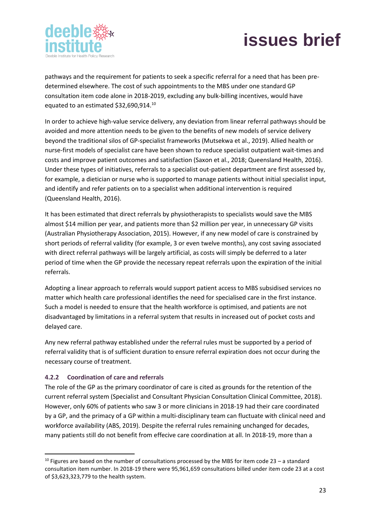



pathways and the requirement for patients to seek a specific referral for a need that has been predetermined elsewhere. The cost of such appointments to the MBS under one standard GP consultation item code alone in 2018-2019, excluding any bulk-billing incentives, would have equated to an estimated \$32,690,914.<sup>10</sup>

In order to achieve high-value service delivery, any deviation from linear referral pathways should be avoided and more attention needs to be given to the benefits of new models of service delivery beyond the traditional silos of GP-specialist frameworks (Mutsekwa et al., 2019). Allied health or nurse-first models of specialist care have been shown to reduce specialist outpatient wait-times and costs and improve patient outcomes and satisfaction (Saxon et al., 2018; Queensland Health, 2016). Under these types of initiatives, referrals to a specialist out-patient department are first assessed by, for example, a dietician or nurse who is supported to manage patients without initial specialist input, and identify and refer patients on to a specialist when additional intervention is required (Queensland Health, 2016).

It has been estimated that direct referrals by physiotherapists to specialists would save the MBS almost \$14 million per year, and patients more than \$2 million per year, in unnecessary GP visits (Australian Physiotherapy Association, 2015). However, if any new model of care is constrained by short periods of referral validity (for example, 3 or even twelve months), any cost saving associated with direct referral pathways will be largely artificial, as costs will simply be deferred to a later period of time when the GP provide the necessary repeat referrals upon the expiration of the initial referrals.

Adopting a linear approach to referrals would support patient access to MBS subsidised services no matter which health care professional identifies the need for specialised care in the first instance. Such a model is needed to ensure that the health workforce is optimised, and patients are not disadvantaged by limitations in a referral system that results in increased out of pocket costs and delayed care.

Any new referral pathway established under the referral rules must be supported by a period of referral validity that is of sufficient duration to ensure referral expiration does not occur during the necessary course of treatment.

#### <span id="page-23-0"></span>**4.2.2 Coordination of care and referrals**

The role of the GP as the primary coordinator of care is cited as grounds for the retention of the current referral system (Specialist and Consultant Physician Consultation Clinical Committee, 2018). However, only 60% of patients who saw 3 or more clinicians in 2018-19 had their care coordinated by a GP, and the primacy of a GP within a multi-disciplinary team can fluctuate with clinical need and workforce availability (ABS, 2019). Despite the referral rules remaining unchanged for decades, many patients still do not benefit from effecive care coordination at all. In 2018-19, more than a

 $10$  Figures are based on the number of consultations processed by the MBS for item code 23 – a standard consultation item number. In 2018-19 there were 95,961,659 consultations billed under item code 23 at a cost of \$3,623,323,779 to the health system.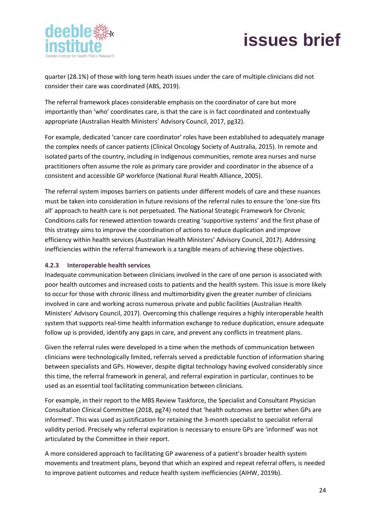

quarter (28.1%) of those with long term heath issues under the care of multiple clinicians did not consider their care was coordinated (ABS, 2019).

The referral framework places considerable emphasis on the coordinator of care but more importantly than 'who' coordinates care, is that the care is in fact coordinated and contextually appropriate (Australian Health Ministers' Advisory Council, 2017, pg32).

For example, dedicated 'cancer care coordinator' roles have been established to adequately manage the complex needs of cancer patients (Clinical Oncology Society of Australia, 2015). In remote and isolated parts of the country, including in Indigenous communities, remote area nurses and nurse practitioners often assume the role as primary care provider and coordinator in the absence of a consistent and accessible GP workforce (National Rural Health Alliance, 2005).

The referral system imposes barriers on patients under different models of care and these nuances must be taken into consideration in future revisions of the referral rules to ensure the 'one-size fits all' approach to health care is not perpetuated. The National Strategic Framework for Chronic Conditions calls for renewed attention towards creating 'supportive systems' and the first phase of this strategy aims to improve the coordination of actions to reduce duplication and improve efficiency within health services (Australian Health Ministers' Advisory Council, 2017). Addressing inefficiencies within the referral framework is a tangible means of achieving these objectives.

### <span id="page-24-0"></span>**4.2.3 Interoperable health services**

Inadequate communication between clinicians involved in the care of one person is associated with poor health outcomes and increased costs to patients and the health system. This issue is more likely to occur for those with chronic illness and multimorbidity given the greater number of clinicians involved in care and working across numerous private and public facilities (Australian Health Ministers' Advisory Council, 2017). Overcoming this challenge requires a highly interoperable health system that supports real-time health information exchange to reduce duplication, ensure adequate follow up is provided, identify any gaps in care, and prevent any conflicts in treatment plans.

Given the referral rules were developed in a time when the methods of communication between clinicians were technologically limited, referrals served a predictable function of information sharing between specialists and GPs. However, despite digital technology having evolved considerably since this time, the referral framework in general, and referral expiration in particular, continues to be used as an essential tool facilitating communication between clinicians.

For example, in their report to the MBS Review Taskforce, the Specialist and Consultant Physician Consultation Clinical Committee (2018, pg74) noted that 'health outcomes are better when GPs are informed'. This was used as justification for retaining the 3-month specialist to specialist referral validity period. Precisely why referral expiration is necessary to ensure GPs are 'informed' was not articulated by the Committee in their report.

A more considered approach to facilitating GP awareness of a patient's broader health system movements and treatment plans, beyond that which an expired and repeat referral offers, is needed to improve patient outcomes and reduce health system inefficiencies (AIHW, 2019b).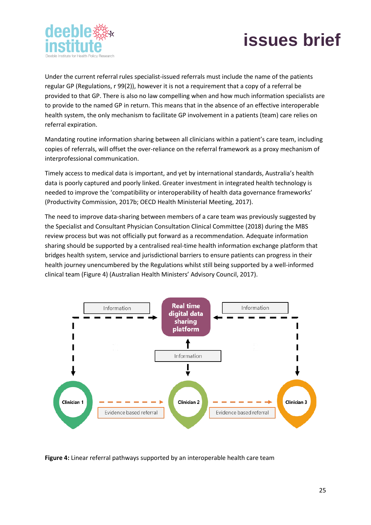



Under the current referral rules specialist-issued referrals must include the name of the patients regular GP (Regulations, r 99(2)), however it is not a requirement that a copy of a referral be provided to that GP. There is also no law compelling when and how much information specialists are to provide to the named GP in return. This means that in the absence of an effective interoperable health system, the only mechanism to facilitate GP involvement in a patients (team) care relies on referral expiration.

Mandating routine information sharing between all clinicians within a patient's care team, including copies of referrals, will offset the over-reliance on the referral framework as a proxy mechanism of interprofessional communication.

Timely access to medical data is important, and yet by international standards, Australia's health data is poorly captured and poorly linked. Greater investment in integrated health technology is needed to improve the 'compatibility or interoperability of health data governance frameworks' (Productivity Commission, 2017b; OECD Health Ministerial Meeting, 2017).

The need to improve data-sharing between members of a care team was previously suggested by the Specialist and Consultant Physician Consultation Clinical Committee (2018) during the MBS review process but was not officially put forward as a recommendation. Adequate information sharing should be supported by a centralised real-time health information exchange platform that bridges health system, service and jurisdictional barriers to ensure patients can progress in their health journey unencumbered by the Regulations whilst still being supported by a well-informed clinical team (Figure 4) (Australian Health Ministers' Advisory Council, 2017).



**Figure 4:** Linear referral pathways supported by an interoperable health care team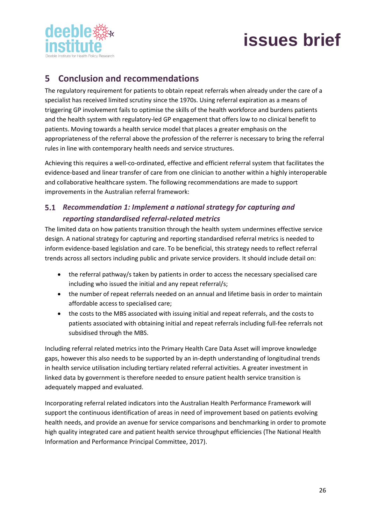

# <span id="page-26-0"></span>**5 Conclusion and recommendations**

The regulatory requirement for patients to obtain repeat referrals when already under the care of a specialist has received limited scrutiny since the 1970s. Using referral expiration as a means of triggering GP involvement fails to optimise the skills of the health workforce and burdens patients and the health system with regulatory-led GP engagement that offers low to no clinical benefit to patients. Moving towards a health service model that places a greater emphasis on the appropriateness of the referral above the profession of the referrer is necessary to bring the referral rules in line with contemporary health needs and service structures.

Achieving this requires a well-co-ordinated, effective and efficient referral system that facilitates the evidence-based and linear transfer of care from one clinician to another within a highly interoperable and collaborative healthcare system. The following recommendations are made to support improvements in the Australian referral framework:

### *Recommendation 1: Implement a national strategy for capturing and reporting standardised referral-related metrics*

The limited data on how patients transition through the health system undermines effective service design. A national strategy for capturing and reporting standardised referral metrics is needed to inform evidence-based legislation and care. To be beneficial, this strategy needs to reflect referral trends across all sectors including public and private service providers. It should include detail on:

- the referral pathway/s taken by patients in order to access the necessary specialised care including who issued the initial and any repeat referral/s;
- the number of repeat referrals needed on an annual and lifetime basis in order to maintain affordable access to specialised care;
- the costs to the MBS associated with issuing initial and repeat referrals, and the costs to patients associated with obtaining initial and repeat referrals including full-fee referrals not subsidised through the MBS.

Including referral related metrics into the Primary Health Care Data Asset will improve knowledge gaps, however this also needs to be supported by an in-depth understanding of longitudinal trends in health service utilisation including tertiary related referral activities. A greater investment in linked data by government is therefore needed to ensure patient health service transition is adequately mapped and evaluated.

Incorporating referral related indicators into the Australian Health Performance Framework will support the continuous identification of areas in need of improvement based on patients evolving health needs, and provide an avenue for service comparisons and benchmarking in order to promote high quality integrated care and patient health service throughput efficiencies (The National Health Information and Performance Principal Committee, 2017).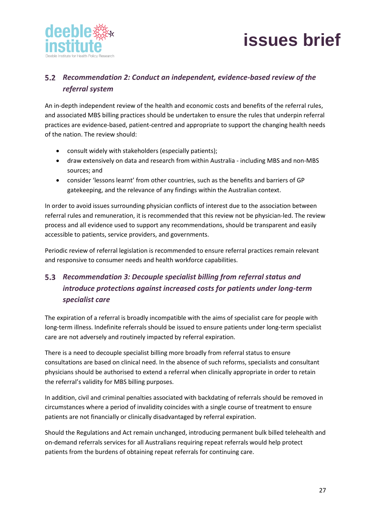



# *Recommendation 2: Conduct an independent, evidence-based review of the referral system*

An in-depth independent review of the health and economic costs and benefits of the referral rules, and associated MBS billing practices should be undertaken to ensure the rules that underpin referral practices are evidence-based, patient-centred and appropriate to support the changing health needs of the nation. The review should:

- consult widely with stakeholders (especially patients);
- draw extensively on data and research from within Australia including MBS and non-MBS sources; and
- consider 'lessons learnt' from other countries, such as the benefits and barriers of GP gatekeeping, and the relevance of any findings within the Australian context.

In order to avoid issues surrounding physician conflicts of interest due to the association between referral rules and remuneration, it is recommended that this review not be physician-led. The review process and all evidence used to support any recommendations, should be transparent and easily accessible to patients, service providers, and governments.

Periodic review of referral legislation is recommended to ensure referral practices remain relevant and responsive to consumer needs and health workforce capabilities.

# *Recommendation 3: Decouple specialist billing from referral status and introduce protections against increased costs for patients under long-term specialist care*

The expiration of a referral is broadly incompatible with the aims of specialist care for people with long-term illness. Indefinite referrals should be issued to ensure patients under long-term specialist care are not adversely and routinely impacted by referral expiration.

There is a need to decouple specialist billing more broadly from referral status to ensure consultations are based on clinical need. In the absence of such reforms, specialists and consultant physicians should be authorised to extend a referral when clinically appropriate in order to retain the referral's validity for MBS billing purposes.

In addition, civil and criminal penalties associated with backdating of referrals should be removed in circumstances where a period of invalidity coincides with a single course of treatment to ensure patients are not financially or clinically disadvantaged by referral expiration.

Should the Regulations and Act remain unchanged, introducing permanent bulk billed telehealth and on-demand referrals services for all Australians requiring repeat referrals would help protect patients from the burdens of obtaining repeat referrals for continuing care.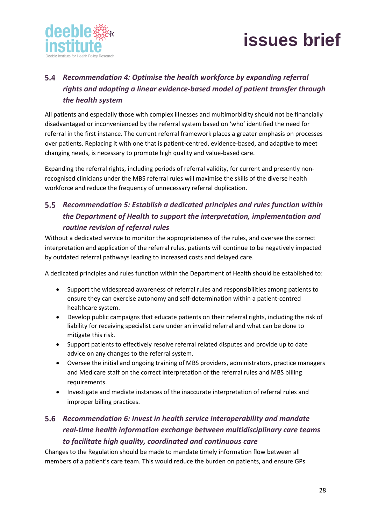

# *Recommendation 4: Optimise the health workforce by expanding referral rights and adopting a linear evidence-based model of patient transfer through the health system*

All patients and especially those with complex illnesses and multimorbidity should not be financially disadvantaged or inconvenienced by the referral system based on 'who' identified the need for referral in the first instance. The current referral framework places a greater emphasis on processes over patients. Replacing it with one that is patient-centred, evidence-based, and adaptive to meet changing needs, is necessary to promote high quality and value-based care.

Expanding the referral rights, including periods of referral validity, for current and presently nonrecognised clinicians under the MBS referral rules will maximise the skills of the diverse health workforce and reduce the frequency of unnecessary referral duplication.

# *Recommendation 5: Establish a dedicated principles and rules function within the Department of Health to support the interpretation, implementation and routine revision of referral rules*

Without a dedicated service to monitor the appropriateness of the rules, and oversee the correct interpretation and application of the referral rules, patients will continue to be negatively impacted by outdated referral pathways leading to increased costs and delayed care.

A dedicated principles and rules function within the Department of Health should be established to:

- Support the widespread awareness of referral rules and responsibilities among patients to ensure they can exercise autonomy and self-determination within a patient-centred healthcare system.
- Develop public campaigns that educate patients on their referral rights, including the risk of liability for receiving specialist care under an invalid referral and what can be done to mitigate this risk.
- Support patients to effectively resolve referral related disputes and provide up to date advice on any changes to the referral system.
- Oversee the initial and ongoing training of MBS providers, administrators, practice managers and Medicare staff on the correct interpretation of the referral rules and MBS billing requirements.
- Investigate and mediate instances of the inaccurate interpretation of referral rules and improper billing practices.

## *Recommendation 6: Invest in health service interoperability and mandate real-time health information exchange between multidisciplinary care teams to facilitate high quality, coordinated and continuous care*

Changes to the Regulation should be made to mandate timely information flow between all members of a patient's care team. This would reduce the burden on patients, and ensure GPs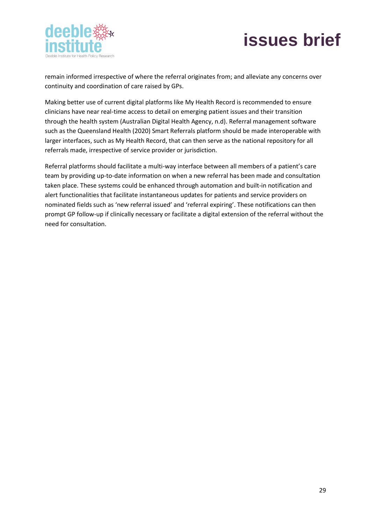

remain informed irrespective of where the referral originates from; and alleviate any concerns over continuity and coordination of care raised by GPs.

Making better use of current digital platforms like My Health Record is recommended to ensure clinicians have near real-time access to detail on emerging patient issues and their transition through the health system (Australian Digital Health Agency, n.d). Referral management software such as the Queensland Health (2020) Smart Referrals platform should be made interoperable with larger interfaces, such as My Health Record, that can then serve as the national repository for all referrals made, irrespective of service provider or jurisdiction.

Referral platforms should facilitate a multi-way interface between all members of a patient's care team by providing up-to-date information on when a new referral has been made and consultation taken place. These systems could be enhanced through automation and built-in notification and alert functionalities that facilitate instantaneous updates for patients and service providers on nominated fields such as 'new referral issued' and 'referral expiring'. These notifications can then prompt GP follow-up if clinically necessary or facilitate a digital extension of the referral without the need for consultation.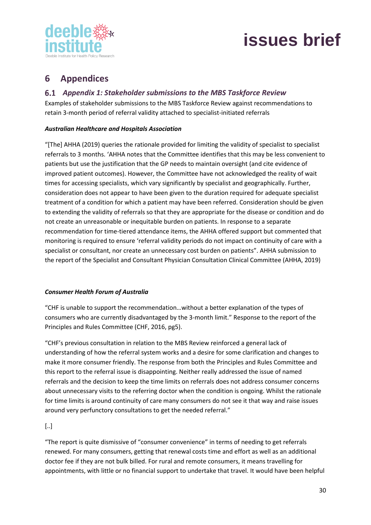



# <span id="page-30-0"></span>**6 Appendices**

### *Appendix 1: Stakeholder submissions to the MBS Taskforce Review*

Examples of stakeholder submissions to the MBS Taskforce Review against recommendations to retain 3-month period of referral validity attached to specialist-initiated referrals

### *Australian Healthcare and Hospitals Association*

"[The] AHHA (2019) queries the rationale provided for limiting the validity of specialist to specialist referrals to 3 months. 'AHHA notes that the Committee identifies that this may be less convenient to patients but use the justification that the GP needs to maintain oversight (and cite evidence of improved patient outcomes). However, the Committee have not acknowledged the reality of wait times for accessing specialists, which vary significantly by specialist and geographically. Further, consideration does not appear to have been given to the duration required for adequate specialist treatment of a condition for which a patient may have been referred. Consideration should be given to extending the validity of referrals so that they are appropriate for the disease or condition and do not create an unreasonable or inequitable burden on patients. In response to a separate recommendation for time-tiered attendance items, the AHHA offered support but commented that monitoring is required to ensure 'referral validity periods do not impact on continuity of care with a specialist or consultant, nor create an unnecessary cost burden on patients". AHHA submission to the report of the Specialist and Consultant Physician Consultation Clinical Committee (AHHA, 2019)

#### *Consumer Health Forum of Australia*

"CHF is unable to support the recommendation…without a better explanation of the types of consumers who are currently disadvantaged by the 3-month limit." Response to the report of the Principles and Rules Committee (CHF, 2016, pg5).

"CHF's previous consultation in relation to the MBS Review reinforced a general lack of understanding of how the referral system works and a desire for some clarification and changes to make it more consumer friendly. The response from both the Principles and Rules Committee and this report to the referral issue is disappointing. Neither really addressed the issue of named referrals and the decision to keep the time limits on referrals does not address consumer concerns about unnecessary visits to the referring doctor when the condition is ongoing. Whilst the rationale for time limits is around continuity of care many consumers do not see it that way and raise issues around very perfunctory consultations to get the needed referral."

### [..]

"The report is quite dismissive of "consumer convenience" in terms of needing to get referrals renewed. For many consumers, getting that renewal costs time and effort as well as an additional doctor fee if they are not bulk billed. For rural and remote consumers, it means travelling for appointments, with little or no financial support to undertake that travel. It would have been helpful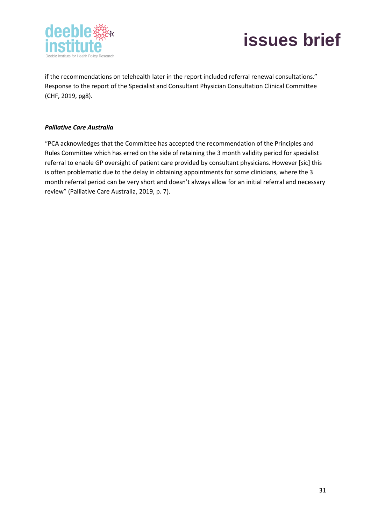



if the recommendations on telehealth later in the report included referral renewal consultations." Response to the report of the Specialist and Consultant Physician Consultation Clinical Committee (CHF, 2019, pg8).

### *Palliative Care Australia*

"PCA acknowledges that the Committee has accepted the recommendation of the Principles and Rules Committee which has erred on the side of retaining the 3 month validity period for specialist referral to enable GP oversight of patient care provided by consultant physicians. However [sic] this is often problematic due to the delay in obtaining appointments for some clinicians, where the 3 month referral period can be very short and doesn't always allow for an initial referral and necessary review" (Palliative Care Australia, 2019, p. 7).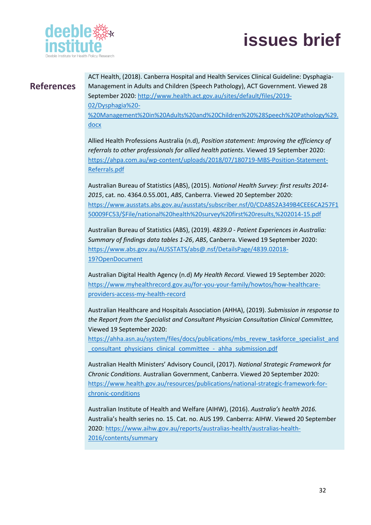

# <span id="page-32-0"></span>**References**

ACT Health, (2018). Canberra Hospital and Health Services Clinical Guideline: Dysphagia-Management in Adults and Children (Speech Pathology), ACT Government. Viewed 28 September 2020: [http://www.health.act.gov.au/sites/default/files/2019-](about:blank) [02/Dysphagia%20-](about:blank) [%20Management%20in%20Adults%20and%20Children%20%28Speech%20Pathology%29.](about:blank) [docx](about:blank)

Allied Health Professions Australia (n.d), *Position statement: Improving the efficiency of referrals to other professionals for allied health patients*. Viewed 19 September 2020: [https://ahpa.com.au/wp-content/uploads/2018/07/180719-MBS-Position-Statement-](about:blank)[Referrals.pdf](about:blank)

Australian Bureau of Statistics (ABS), (2015). *National Health Survey: first results 2014- 2015*, cat. no. 4364.0.55.001, *ABS*, Canberra. Viewed 20 September 2020: [https://www.ausstats.abs.gov.au/ausstats/subscriber.nsf/0/CDA852A349B4CEE6CA257F1](about:blank) [50009FC53/\\$File/national%20health%20survey%20first%20results,%202014-15.pdf](about:blank)

Australian Bureau of Statistics (ABS), (2019). *4839.0 - Patient Experiences in Australia: Summary of findings data tables 1-26*, *ABS*, Canberra. Viewed 19 September 2020: [https://www.abs.gov.au/AUSSTATS/abs@.nsf/DetailsPage/4839.02018-](about:blank) [19?OpenDocument](about:blank)

Australian Digital Health Agency (n.d) *My Health Record.* Viewed 19 September 2020: [https://www.myhealthrecord.gov.au/for-you-your-family/howtos/how-healthcare](about:blank)[providers-access-my-health-record](about:blank)

Australian Healthcare and Hospitals Association (AHHA), (2019). *Submission in response to the Report from the Specialist and Consultant Physician Consultation Clinical Committee,* Viewed 19 September 2020:

[https://ahha.asn.au/system/files/docs/publications/mbs\\_revew\\_taskforce\\_specialist\\_and](about:blank) [\\_consultant\\_physicians\\_clinical\\_committee\\_-\\_ahha\\_submission.pdf](about:blank)

Australian Health Ministers' Advisory Council, (2017). *National Strategic Framework for Chronic Conditions*. Australian Government, Canberra. Viewed 20 September 2020: [https://www.health.gov.au/resources/publications/national-strategic-framework-for](about:blank)[chronic-conditions](about:blank)

Australian Institute of Health and Welfare (AIHW), (2016). *Australia's health 2016.* Australia's health series no. 15. Cat. no. AUS 199. Canberra: AIHW. Viewed 20 September 2020: [https://www.aihw.gov.au/reports/australias-health/australias-health-](about:blank)[2016/contents/summary](about:blank)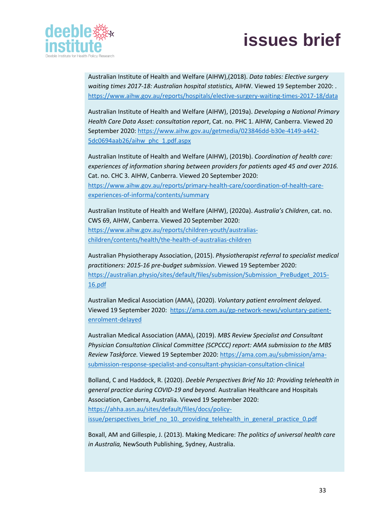

Australian Institute of Health and Welfare (AIHW),(2018). *Data tables: Elective surgery waiting times 2017-18: Australian hospital statistics,* AIHW*.* Viewed 19 September 2020: . [https://www.aihw.gov.au/reports/hospitals/elective-surgery-waiting-times-2017-18/data](about:blank)

Australian Institute of Health and Welfare (AIHW), (2019a). *Developing a National Primary Health Care Data Asset: consultation report*, Cat. no. PHC 1. AIHW*,* Canberra. Viewed 20 September 2020: [https://www.aihw.gov.au/getmedia/023846dd-b30e-4149-a442-](about:blank) [5dc0694aab26/aihw\\_phc\\_1.pdf.aspx](about:blank)

Australian Institute of Health and Welfare (AIHW), (2019b). *Coordination of health care: experiences of information sharing between providers for patients aged 45 and over 2016.* Cat. no. CHC 3. AIHW, Canberra. Viewed 20 September 2020:

[https://www.aihw.gov.au/reports/primary-health-care/coordination-of-health-care](about:blank)[experiences-of-informa/contents/summary](about:blank)

Australian Institute of Health and Welfare (AIHW), (2020a). *Australia's Children*, cat. no. CWS 69, AIHW, Canberra. Viewed 20 September 2020: [https://www.aihw.gov.au/reports/children-youth/australias](about:blank)[children/contents/health/the-health-of-australias-children](about:blank)

Australian Physiotherapy Association, (2015). *Physiotherapist referral to specialist medical practitioners: 2015-16 pre-budget submission*. Viewed 19 September 2020: [https://australian.physio/sites/default/files/submission/Submission\\_PreBudget\\_2015-](about:blank) [16.pdf](about:blank)

Australian Medical Association (AMA), (2020). *Voluntary patient enrolment delayed*. Viewed 19 September 2020: [https://ama.com.au/gp-network-news/voluntary-patient](about:blank)[enrolment-delayed](about:blank)

Australian Medical Association (AMA), (2019). *MBS Review Specialist and Consultant Physician Consultation Clinical Committee (SCPCCC) report: AMA submission to the MBS Review Taskforce.* Viewed 19 September 2020: [https://ama.com.au/submission/ama](about:blank)[submission-response-specialist-and-consultant-physician-consultation-clinical](about:blank)

Bolland, C and Haddock, R. (2020). *Deeble Perspectives Brief No 10: Providing telehealth in general practice during COVID-19 and beyond*. Australian Healthcare and Hospitals Association, Canberra, Australia. Viewed 19 September 2020: [https://ahha.asn.au/sites/default/files/docs/policy](about:blank)[issue/perspectives\\_brief\\_no\\_10.\\_providing\\_telehealth\\_in\\_general\\_practice\\_0.pdf](about:blank)

Boxall, AM and Gillespie, J. (2013). Making Medicare: *The politics of universal health care in Australia,* NewSouth Publishing, Sydney, Australia.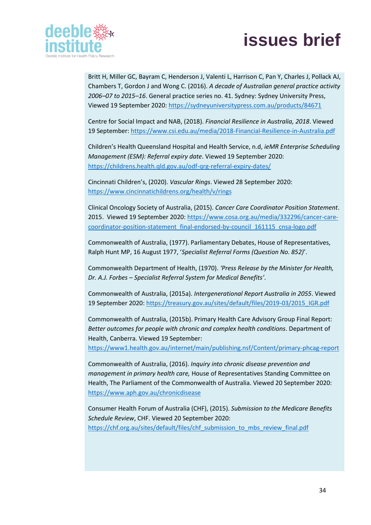

Britt H, Miller GC, Bayram C, Henderson J, Valenti L, Harrison C, Pan Y, Charles J, Pollack AJ, Chambers T, Gordon J and Wong C. (2016). *A decade of Australian general practice activity 2006–07 to 2015–16*. General practice series no. 41. Sydney: Sydney University Press, Viewed 19 September 2020[: https://sydneyuniversitypress.com.au/products/84671](about:blank)

Centre for Social Impact and NAB, (2018). *Financial Resilience in Australia, 2018*. Viewed 19 September: [https://www.csi.edu.au/media/2018-Financial-Resilience-in-Australia.pdf](about:blank)

Children's Health Queensland Hospital and Health Service, n.d, *ieMR Enterprise Scheduling Management (ESM): Referral expiry date*. Viewed 19 September 2020: [https://childrens.health.qld.gov.au/odf-qrg-referral-expiry-dates/](about:blank)

Cincinnati Children's, (2020). *Vascular Rings*. Viewed 28 September 2020: [https://www.cincinnatichildrens.org/health/v/rings](about:blank)

Clinical Oncology Society of Australia, (2015). *Cancer Care Coordinator Position Statement*. 2015. Viewed 19 September 2020[: https://www.cosa.org.au/media/332296/cancer-care](about:blank)[coordinator-position-statement\\_final-endorsed-by-council\\_161115\\_cnsa-logo.pdf](about:blank)

Commonwealth of Australia, (1977). Parliamentary Debates, House of Representatives, Ralph Hunt MP, 16 August 1977, '*Specialist Referral Forms (Question No. 852)*'.

Commonwealth Department of Health, (1970). *'Press Release by the Minister for Health, Dr. A.J. Forbes – Specialist Referral System for Medical Benefits'*.

Commonwealth of Australia, (2015a). *Intergenerational Report Australia in 2055*. Viewed 19 September 2020: [https://treasury.gov.au/sites/default/files/2019-03/2015\\_IGR.pdf](about:blank)

Commonwealth of Australia, (2015b). Primary Health Care Advisory Group Final Report: *Better outcomes for people with chronic and complex health conditions*. Department of Health, Canberra. Viewed 19 September:

[https://www1.health.gov.au/internet/main/publishing.nsf/Content/primary-phcag-report](about:blank)

Commonwealth of Australia, (2016). *Inquiry into chronic disease prevention and management in primary health care,* House of Representatives Standing Committee on Health, The Parliament of the Commonwealth of Australia. Viewed 20 September 2020: [https://www.aph.gov.au/chronicdisease](about:blank)

Consumer Health Forum of Australia (CHF), (2015). *Submission to the Medicare Benefits Schedule Review*, CHF. Viewed 20 September 2020: [https://chf.org.au/sites/default/files/chf\\_submission\\_to\\_mbs\\_review\\_final.pdf](about:blank)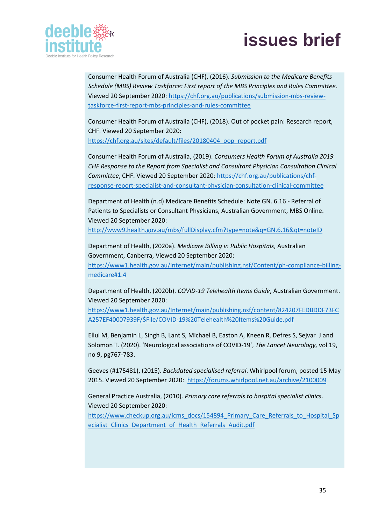

Consumer Health Forum of Australia (CHF), (2016). *Submission to the Medicare Benefits Schedule (MBS) Review Taskforce: First report of the MBS Principles and Rules Committee*. Viewed 20 September 2020[: https://chf.org.au/publications/submission-mbs-review](about:blank)[taskforce-first-report-mbs-principles-and-rules-committee](about:blank)

Consumer Health Forum of Australia (CHF), (2018). Out of pocket pain: Research report, CHF. Viewed 20 September 2020:

[https://chf.org.au/sites/default/files/20180404\\_oop\\_report.pdf](about:blank)

Consumer Health Forum of Australia, (2019). *Consumers Health Forum of Australia 2019 CHF Response to the Report from Specialist and Consultant Physician Consultation Clinical Committee*, CHF. Viewed 20 September 2020: [https://chf.org.au/publications/chf](about:blank)[response-report-specialist-and-consultant-physician-consultation-clinical-committee](about:blank)

Department of Health (n.d) Medicare Benefits Schedule: Note GN. 6.16 - Referral of Patients to Specialists or Consultant Physicians, Australian Government, MBS Online. Viewed 20 September 2020:

[http://www9.health.gov.au/mbs/fullDisplay.cfm?type=note&q=GN.6.16&qt=noteID](about:blank)

Department of Health, (2020a). *Medicare Billing in Public Hospitals*, Australian Government, Canberra, Viewed 20 September 2020: [https://www1.health.gov.au/internet/main/publishing.nsf/Content/ph-compliance-billing](about:blank#1.4)[medicare#1.4](about:blank#1.4)

Department of Health, (2020b). *COVID-19 Telehealth Items Guide*, Australian Government. Viewed 20 September 2020:

[https://www1.health.gov.au/Internet/main/publishing.nsf/content/824207FEDBDDF73FC](about:blank) [A257EF40007939F/\\$File/COVID-19%20Telehealth%20Items%20Guide.pdf](about:blank)

Ellul M, Benjamin L, Singh B, Lant S, Michael B, Easton A, Kneen R, Defres S, Sejvar J and Solomon T. (2020). 'Neurological associations of COVID-19', *The Lancet Neurology,* vol 19, no 9, pg767-783.

Geeves (#175481), (2015). *Backdated specialised referral*. Whirlpool forum, posted 15 May 2015. Viewed 20 September 2020: [https://forums.whirlpool.net.au/archive/2100009](about:blank)

General Practice Australia, (2010). *Primary care referrals to hospital specialist clinics*. Viewed 20 September 2020:

[https://www.checkup.org.au/icms\\_docs/154894\\_Primary\\_Care\\_Referrals\\_to\\_Hospital\\_Sp](about:blank) ecialist Clinics Department of Health Referrals Audit.pdf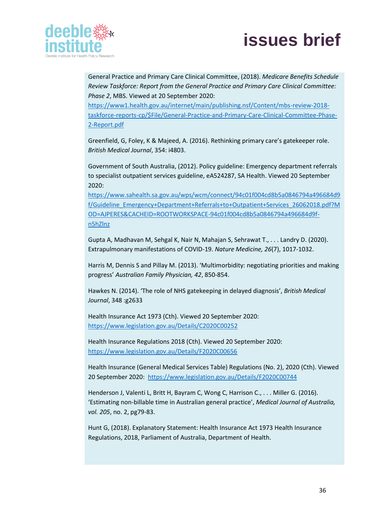

General Practice and Primary Care Clinical Committee, (2018). *Medicare Benefits Schedule Review Taskforce: Report from the General Practice and Primary Care Clinical Committee: Phase 2*, MBS. Viewed at 20 September 2020:

[https://www1.health.gov.au/internet/main/publishing.nsf/Content/mbs-review-2018](about:blank) [taskforce-reports-cp/\\$File/General-Practice-and-Primary-Care-Clinical-Committee-Phase-](about:blank)[2-Report.pdf](about:blank)

Greenfield, G, Foley, K & Majeed, A. (2016). Rethinking primary care's gatekeeper role. *British Medical Journal*, 354: i4803.

Government of South Australia, (2012). Policy guideline: Emergency department referrals to specialist outpatient services guideline, eA524287, SA Health. Viewed 20 September 2020:

[https://www.sahealth.sa.gov.au/wps/wcm/connect/94c01f004cd8b5a0846794a496684d9](about:blank) [f/Guideline\\_Emergency+Department+Referrals+to+Outpatient+Services\\_26062018.pdf?M](about:blank) [OD=AJPERES&CACHEID=ROOTWORKSPACE-94c01f004cd8b5a0846794a496684d9f](about:blank)[n5hZlnz](about:blank)

Gupta A, Madhavan M, Sehgal K, Nair N, Mahajan S, Sehrawat T., . . . Landry D. (2020). Extrapulmonary manifestations of COVID-19. *Nature Medicine, 26*(7), 1017-1032.

Harris M, Dennis S and Pillay M. (2013). 'Multimorbidity: negotiating priorities and making progress' *Australian Family Physician, 42*, 850-854.

Hawkes N. (2014). 'The role of NHS gatekeeping in delayed diagnosis', *British Medical Journal*, 348 :g2633

Health Insurance Act 1973 (Cth). Viewed 20 September 2020: [https://www.legislation.gov.au/Details/C2020C00252](about:blank)

Health Insurance Regulations 2018 (Cth). Viewed 20 September 2020: [https://www.legislation.gov.au/Details/F2020C00656](about:blank)

Health Insurance (General Medical Services Table) Regulations (No. 2), 2020 (Cth). Viewed 20 September 2020: [https://www.legislation.gov.au/Details/F2020C00744](about:blank)

Henderson J, Valenti L, Britt H, Bayram C, Wong C, Harrison C., . . . Miller G. (2016). 'Estimating non‐billable time in Australian general practice', *Medical Journal of Australia, vol. 205*, no. 2, pg79-83.

Hunt G, (2018). Explanatory Statement: Health Insurance Act 1973 Health Insurance Regulations, 2018, Parliament of Australia, Department of Health.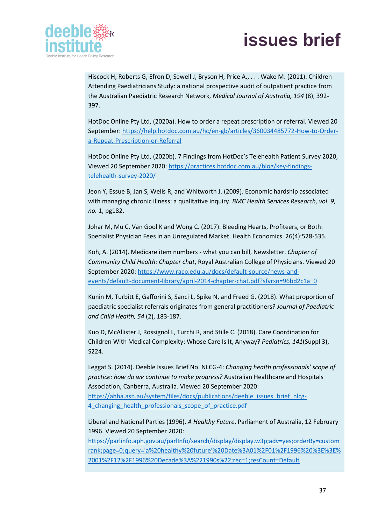

Hiscock H, Roberts G, Efron D, Sewell J, Bryson H, Price A., . . . Wake M. (2011). Children Attending Paediatricians Study: a national prospective audit of outpatient practice from the Australian Paediatric Research Network, *Medical Journal of Australia, 194* (8), 392- 397.

HotDoc Online Pty Ltd, (2020a). How to order a repeat prescription or referral. Viewed 20 September: [https://help.hotdoc.com.au/hc/en-gb/articles/360034485772-How-to-Order](about:blank)[a-Repeat-Prescription-or-Referral](about:blank)

HotDoc Online Pty Ltd, (2020b). 7 Findings from HotDoc's Telehealth Patient Survey 2020, Viewed 20 September 2020: [https://practices.hotdoc.com.au/blog/key-findings](about:blank)[telehealth-survey-2020/](about:blank)

Jeon Y, Essue B, Jan S, Wells R, and Whitworth J. (2009). Economic hardship associated with managing chronic illness: a qualitative inquiry. *BMC Health Services Research, vol. 9, no.* 1, pg182.

Johar M, Mu C, Van Gool K and Wong C. (2017). Bleeding Hearts, Profiteers, or Both: Specialist Physician Fees in an Unregulated Market. Health Economics. 26(4):528-535.

Koh, A. (2014). Medicare item numbers - what you can bill, Newsletter. *Chapter of Community Child Health: Chapter chat*, Royal Australian College of Physicians. Viewed 20 September 2020: [https://www.racp.edu.au/docs/default-source/news-and](about:blank)[events/default-document-library/april-2014-chapter-chat.pdf?sfvrsn=96bd2c1a\\_0](about:blank)

Kunin M, Turbitt E, Gafforini S, Sanci L, Spike N, and Freed G. (2018). What proportion of paediatric specialist referrals originates from general practitioners? *Journal of Paediatric and Child Health, 54* (2), 183-187.

Kuo D, McAllister J, Rossignol L, Turchi R, and Stille C. (2018). Care Coordination for Children With Medical Complexity: Whose Care Is It, Anyway? *Pediatrics, 141*(Suppl 3), S224.

Leggat S. (2014). Deeble Issues Brief No. NLCG-4: *Changing health professionals' scope of practice: how do we continue to make progress?* Australian Healthcare and Hospitals Association, Canberra, Australia. Viewed 20 September 2020: [https://ahha.asn.au/system/files/docs/publications/deeble\\_issues\\_brief\\_nlcg-](about:blank)4 changing health professionals scope of practice.pdf

Liberal and National Parties (1996). *A Healthy Future*, Parliament of Australia, 12 February 1996. Viewed 20 September 2020:

[https://parlinfo.aph.gov.au/parlInfo/search/display/display.w3p;adv=yes;orderBy=custom](about:blank) [rank;page=0;query='a%20healthy%20future'%20Date%3A01%2F01%2F1996%20%3E%3E%](about:blank) [2001%2F12%2F1996%20Decade%3A%221990s%22;rec=1;resCount=Default](about:blank)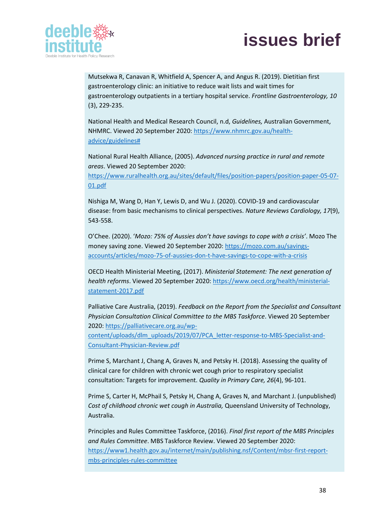

Mutsekwa R, Canavan R, Whitfield A, Spencer A, and Angus R. (2019). Dietitian first gastroenterology clinic: an initiative to reduce wait lists and wait times for gastroenterology outpatients in a tertiary hospital service. *Frontline Gastroenterology, 10* (3), 229-235.

National Health and Medical Research Council, n.d, *Guidelines,* Australian Government, NHMRC. Viewed 20 September 2020: [https://www.nhmrc.gov.au/health](about:blank)[advice/guidelines#](about:blank)

National Rural Health Alliance, (2005). *Advanced nursing practice in rural and remote areas*. Viewed 20 September 2020:

[https://www.ruralhealth.org.au/sites/default/files/position-papers/position-paper-05-07-](about:blank) [01.pdf](about:blank)

Nishiga M, Wang D, Han Y, Lewis D, and Wu J. (2020). COVID-19 and cardiovascular disease: from basic mechanisms to clinical perspectives. *Nature Reviews Cardiology, 17*(9), 543-558.

O'Chee. (2020). '*Mozo: 75% of Aussies don't have savings to cope with a crisis'*. Mozo The money saving zone. Viewed 20 September 2020: [https://mozo.com.au/savings](about:blank)[accounts/articles/mozo-75-of-aussies-don-t-have-savings-to-cope-with-a-crisis](about:blank)

OECD Health Ministerial Meeting, (2017). *Ministerial Statement: The next generation of health reforms*. Viewed 20 September 2020: [https://www.oecd.org/health/ministerial](about:blank)[statement-2017.pdf](about:blank)

Palliative Care Australia, (2019). *Feedback on the Report from the Specialist and Consultant Physician Consultation Clinical Committee to the MBS Taskforce*. Viewed 20 September 2020: [https://palliativecare.org.au/wp](about:blank)[content/uploads/dlm\\_uploads/2019/07/PCA\\_letter-response-to-MBS-Specialist-and-](about:blank)[Consultant-Physician-Review.pdf](about:blank)

Prime S, Marchant J, Chang A, Graves N, and Petsky H. (2018). Assessing the quality of clinical care for children with chronic wet cough prior to respiratory specialist consultation: Targets for improvement. *Quality in Primary Care, 26*(4), 96-101.

Prime S, Carter H, McPhail S, Petsky H, Chang A, Graves N, and Marchant J. (unpublished) *Cost of childhood chronic wet cough in Australia,* Queensland University of Technology, Australia.

Principles and Rules Committee Taskforce, (2016). *Final first report of the MBS Principles and Rules Committee*. MBS Taskforce Review. Viewed 20 September 2020: [https://www1.health.gov.au/internet/main/publishing.nsf/Content/mbsr-first-report](about:blank)[mbs-principles-rules-committee](about:blank)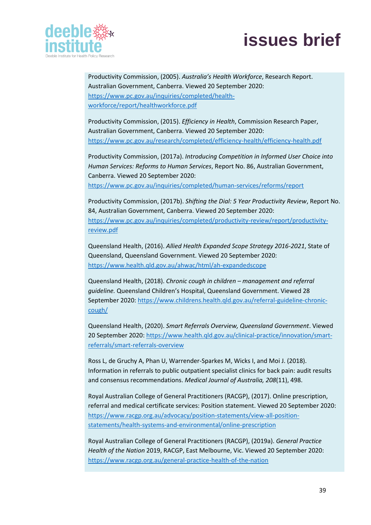

Productivity Commission, (2005). *Australia's Health Workforce*, Research Report. Australian Government, Canberra. Viewed 20 September 2020: [https://www.pc.gov.au/inquiries/completed/health](about:blank)[workforce/report/healthworkforce.pdf](about:blank)

Productivity Commission, (2015). *Efficiency in Health*, Commission Research Paper, Australian Government, Canberra. Viewed 20 September 2020: [https://www.pc.gov.au/research/completed/efficiency-health/efficiency-health.pdf](about:blank)

Productivity Commission, (2017a). *Introducing Competition in Informed User Choice into Human Services: Reforms to Human Services*, Report No. 86, Australian Government, Canberra. Viewed 20 September 2020: [https://www.pc.gov.au/inquiries/completed/human-services/reforms/report](about:blank)

Productivity Commission, (2017b). *Shifting the Dial: 5 Year Productivity Review*, Report No. 84, Australian Government, Canberra. Viewed 20 September 2020: [https://www.pc.gov.au/inquiries/completed/productivity-review/report/productivity](about:blank)[review.pdf](about:blank)

Queensland Health, (2016). *Allied Health Expanded Scope Strategy 2016-2021*, State of Queensland, Queensland Government. Viewed 20 September 2020: [https://www.health.qld.gov.au/ahwac/html/ah-expandedscope](about:blank)

Queensland Health, (2018). *Chronic cough in children – management and referral guideline.* Queensland Children's Hospital, Queensland Government. Viewed 28 September 2020: [https://www.childrens.health.qld.gov.au/referral-guideline-chronic](https://www.childrens.health.qld.gov.au/referral-guideline-chronic-cough/)[cough/](https://www.childrens.health.qld.gov.au/referral-guideline-chronic-cough/)

Queensland Health, (2020). *Smart Referrals Overview, Queensland Government*. Viewed 20 September 2020[: https://www.health.qld.gov.au/clinical-practice/innovation/smart](about:blank)[referrals/smart-referrals-overview](about:blank)

Ross L, de Gruchy A, Phan U, Warrender-Sparkes M, Wicks I, and Moi J. (2018). Information in referrals to public outpatient specialist clinics for back pain: audit results and consensus recommendations. *Medical Journal of Australia, 208*(11), 498.

Royal Australian College of General Practitioners (RACGP), (2017). Online prescription, referral and medical certificate services: Position statement. Viewed 20 September 2020: [https://www.racgp.org.au/advocacy/position-statements/view-all-position](about:blank)[statements/health-systems-and-environmental/online-prescription](about:blank)

Royal Australian College of General Practitioners (RACGP), (2019a). *General Practice Health of the Nation* 2019, RACGP, East Melbourne, Vic. Viewed 20 September 2020: [https://www.racgp.org.au/general-practice-health-of-the-nation](about:blank)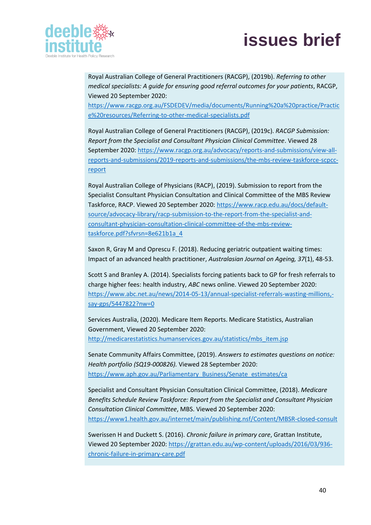

Royal Australian College of General Practitioners (RACGP), (2019b). *Referring to other medical specialists: A guide for ensuring good referral outcomes for your patients*, RACGP, Viewed 20 September 2020:

[https://www.racgp.org.au/FSDEDEV/media/documents/Running%20a%20practice/Practic](about:blank) [e%20resources/Referring-to-other-medical-specialists.pdf](about:blank)

Royal Australian College of General Practitioners (RACGP), (2019c). *RACGP Submission: Report from the Specialist and Consultant Physician Clinical Committee*. Viewed 28 September 2020: [https://www.racgp.org.au/advocacy/reports-and-submissions/view-all](about:blank)[reports-and-submissions/2019-reports-and-submissions/the-mbs-review-taskforce-scpcc](about:blank)[report](about:blank)

Royal Australian College of Physicians (RACP), (2019). Submission to report from the Specialist Consultant Physician Consultation and Clinical Committee of the MBS Review Taskforce, RACP. Viewed 20 September 2020: [https://www.racp.edu.au/docs/default](about:blank)[source/advocacy-library/racp-submission-to-the-report-from-the-specialist-and](about:blank)[consultant-physician-consultation-clinical-committee-of-the-mbs-review](about:blank)[taskforce.pdf?sfvrsn=8e621b1a\\_4](about:blank)

Saxon R, Gray M and Oprescu F. (2018). Reducing geriatric outpatient waiting times: Impact of an advanced health practitioner, *Australasian Journal on Ageing, 37*(1), 48-53.

Scott S and Branley A. (2014). Specialists forcing patients back to GP for fresh referrals to charge higher fees: health industry, *ABC* news online. Viewed 20 September 2020: [https://www.abc.net.au/news/2014-05-13/annual-specialist-referrals-wasting-millions,](about:blank) [say-gps/5447822?nw=0](about:blank)

Services Australia, (2020). Medicare Item Reports. Medicare Statistics, Australian Government, Viewed 20 September 2020: [http://medicarestatistics.humanservices.gov.au/statistics/mbs\\_item.jsp](about:blank)

Senate Community Affairs Committee, (2019). *Answers to estimates questions on notice: Health portfolio (SQ19-000826).* Viewed 28 September 2020: [https://www.aph.gov.au/Parliamentary\\_Business/Senate\\_estimates/ca](about:blank)

Specialist and Consultant Physician Consultation Clinical Committee, (2018). *Medicare Benefits Schedule Review Taskforce: Report from the Specialist and Consultant Physician Consultation Clinical Committee*, MBS. Viewed 20 September 2020: [https://www1.health.gov.au/internet/main/publishing.nsf/Content/MBSR-closed-consult](about:blank)

Swerissen H and Duckett S. (2016). *Chronic failure in primary care*, Grattan Institute, Viewed 20 September 2020: [https://grattan.edu.au/wp-content/uploads/2016/03/936](about:blank) [chronic-failure-in-primary-care.pdf](about:blank)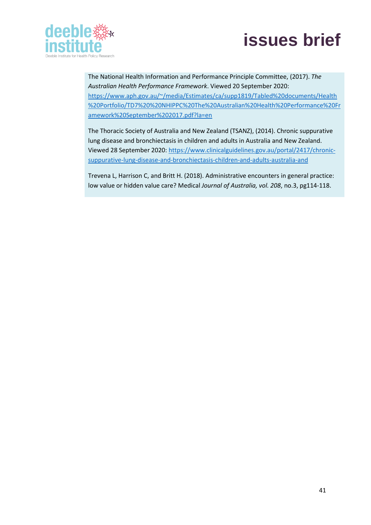



The National Health Information and Performance Principle Committee, (2017). *The Australian Health Performance Framework*. Viewed 20 September 2020: [https://www.aph.gov.au/~/media/Estimates/ca/supp1819/Tabled%20documents/Health](about:blank) [%20Portfolio/TD7%20%20NHIPPC%20The%20Australian%20Health%20Performance%20Fr](about:blank) [amework%20September%202017.pdf?la=en](about:blank)

The Thoracic Society of Australia and New Zealand (TSANZ), (2014). Chronic suppurative lung disease and bronchiectasis in children and adults in Australia and New Zealand. Viewed 28 September 2020[: https://www.clinicalguidelines.gov.au/portal/2417/chronic](about:blank)[suppurative-lung-disease-and-bronchiectasis-children-and-adults-australia-and](about:blank)

Trevena L, Harrison C, and Britt H. (2018). Administrative encounters in general practice: low value or hidden value care? Medical *Journal of Australia, vol. 208*, no.3, pg114-118.